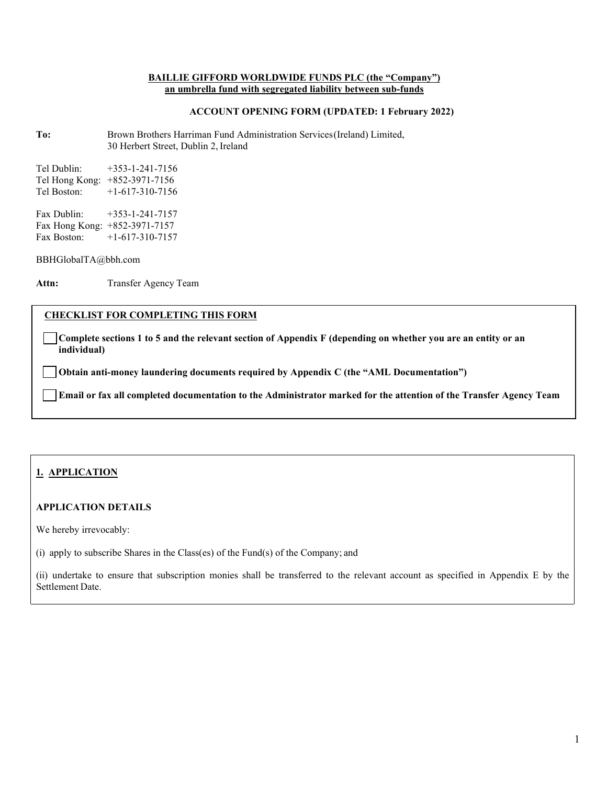#### **BAILLIE GIFFORD WORLDWIDE FUNDS PLC (the "Company") an umbrella fund with segregated liability between sub-funds**

## **ACCOUNT OPENING FORM (UPDATED: 1 February 2022)**

**To:** Brown Brothers Harriman Fund Administration Services(Ireland) Limited, 30 Herbert Street, Dublin 2, Ireland

Tel Dublin: +353-1-241-7156 Tel Hong Kong: +852-3971-7156 Tel Boston: +1-617-310-7156 Fax Dublin: +353-1-241-7157 Fax Hong Kong: +852-3971-7157<br>Fax Boston: +1-617-310-7157  $+1-617-310-7157$ 

[BBHGlobalTA@bbh.com](mailto:BBHGlobalTA@bbh.com)

Attn: Transfer Agency Team

## **CHECKLIST FOR COMPLETING THIS FORM**

**Complete sections 1 to 5 and the relevant section of Appendix F (depending on whether you are an entity or an individual)**

**Obtain anti-money laundering documents required by Appendix C (the "AML Documentation")**

**Email or fax all completed documentation to the Administrator marked for the attention of the Transfer Agency Team**

# **1. APPLICATION**

# **APPLICATION DETAILS**

We hereby irrevocably:

(i) apply to subscribe Shares in the Class(es) of the Fund(s) of the Company; and

(ii) undertake to ensure that subscription monies shall be transferred to the relevant account as specified in Appendix E by the Settlement Date.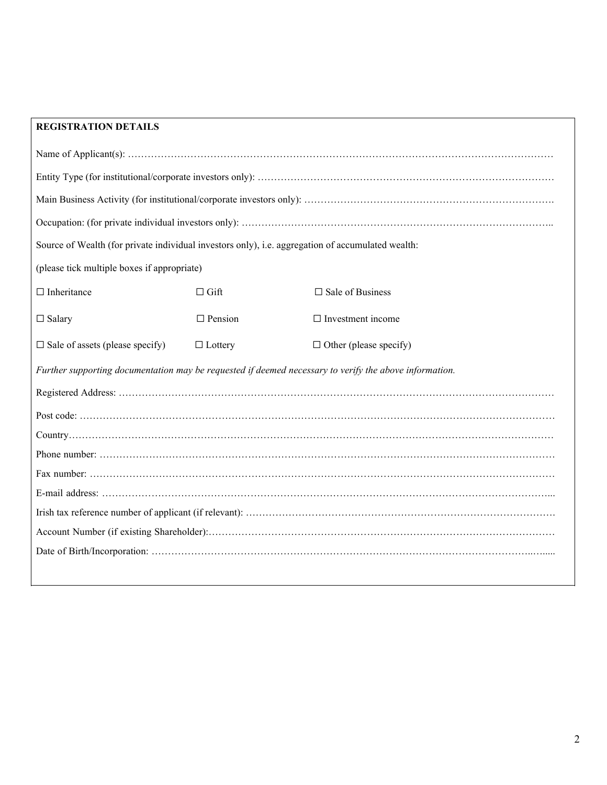# **REGISTRATION DETAILS**

| Source of Wealth (for private individual investors only), i.e. aggregation of accumulated wealth:      |                |                               |  |  |
|--------------------------------------------------------------------------------------------------------|----------------|-------------------------------|--|--|
| (please tick multiple boxes if appropriate)                                                            |                |                               |  |  |
| $\Box$ Inheritance                                                                                     | $\Box$ Gift    | $\square$ Sale of Business    |  |  |
| $\Box$ Salary                                                                                          | $\Box$ Pension | $\Box$ Investment income      |  |  |
| $\Box$ Sale of assets (please specify)                                                                 | $\Box$ Lottery | $\Box$ Other (please specify) |  |  |
| Further supporting documentation may be requested if deemed necessary to verify the above information. |                |                               |  |  |
|                                                                                                        |                |                               |  |  |
|                                                                                                        |                |                               |  |  |
|                                                                                                        |                |                               |  |  |
|                                                                                                        |                |                               |  |  |
|                                                                                                        |                |                               |  |  |
|                                                                                                        |                |                               |  |  |
|                                                                                                        |                |                               |  |  |
|                                                                                                        |                |                               |  |  |
|                                                                                                        |                |                               |  |  |
|                                                                                                        |                |                               |  |  |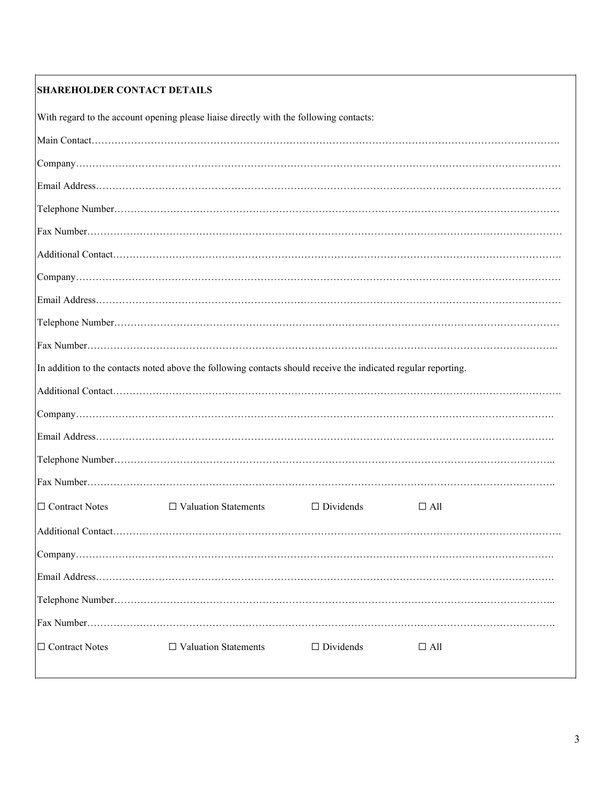# **SHAREHOLDER CONTACT DETAILS**

With regard to the account opening please liaise directly with the following contacts:

|                  | In addition to the contacts noted above the following contacts should receive the indicated regular reporting. |                  |            |
|------------------|----------------------------------------------------------------------------------------------------------------|------------------|------------|
|                  |                                                                                                                |                  |            |
|                  |                                                                                                                |                  |            |
|                  |                                                                                                                |                  |            |
|                  |                                                                                                                |                  |            |
|                  |                                                                                                                |                  |            |
| □ Contract Notes | $\Box$ Valuation Statements                                                                                    | $\Box$ Dividends | $\Box$ All |
|                  |                                                                                                                |                  |            |
|                  |                                                                                                                |                  |            |
|                  |                                                                                                                |                  |            |
|                  |                                                                                                                |                  |            |
|                  |                                                                                                                |                  |            |
| □ Contract Notes | $\Box$ Valuation Statements                                                                                    | $\Box$ Dividends | $\Box$ All |
|                  |                                                                                                                |                  |            |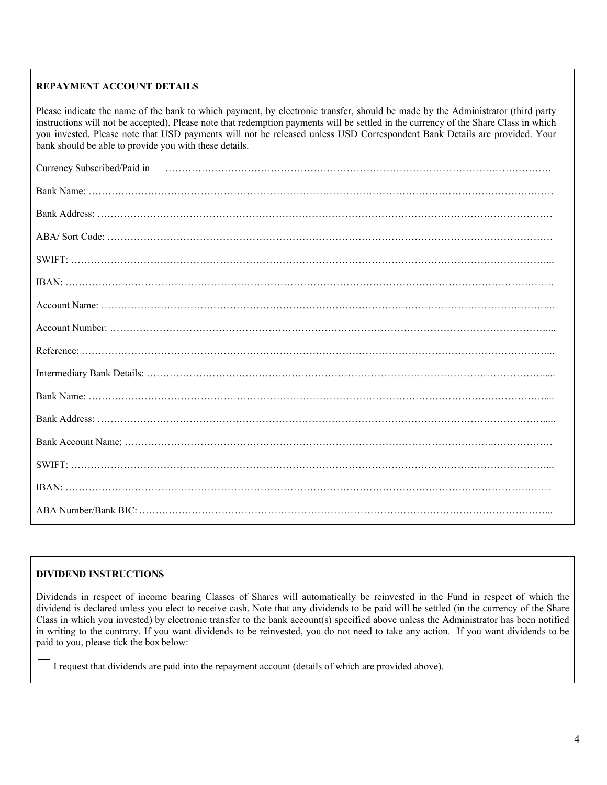# **REPAYMENT ACCOUNT DETAILS**

Please indicate the name of the bank to which payment, by electronic transfer, should be made by the Administrator (third party instructions will not be accepted). Please note that redemption payments will be settled in the currency of the Share Class in which you invested. Please note that USD payments will not be released unless USD Correspondent Bank Details are provided. Your bank should be able to provide you with these details.

| Currency Subscribed/Paid in material contents and content and the content of the content of the content of the |
|----------------------------------------------------------------------------------------------------------------|
|                                                                                                                |
|                                                                                                                |
|                                                                                                                |
|                                                                                                                |
|                                                                                                                |
|                                                                                                                |
|                                                                                                                |
|                                                                                                                |
|                                                                                                                |
|                                                                                                                |
|                                                                                                                |
|                                                                                                                |
|                                                                                                                |
|                                                                                                                |
|                                                                                                                |

# **DIVIDEND INSTRUCTIONS**

Dividends in respect of income bearing Classes of Shares will automatically be reinvested in the Fund in respect of which the dividend is declared unless you elect to receive cash. Note that any dividends to be paid will be settled (in the currency of the Share Class in which you invested) by electronic transfer to the bank account(s) specified above unless the Administrator has been notified in writing to the contrary. If you want dividends to be reinvested, you do not need to take any action. If you want dividends to be paid to you, please tick the box below:

I request that dividends are paid into the repayment account (details of which are provided above).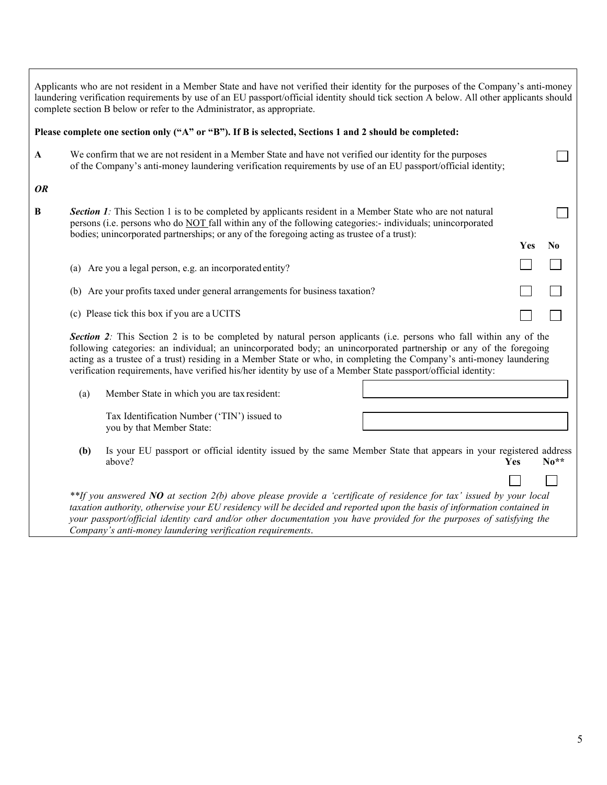|                                                                              |     | Applicants who are not resident in a Member State and have not verified their identity for the purposes of the Company's anti-money<br>laundering verification requirements by use of an EU passport/official identity should tick section A below. All other applicants should<br>complete section B below or refer to the Administrator, as appropriate.                                                                                                                         |     |                |
|------------------------------------------------------------------------------|-----|------------------------------------------------------------------------------------------------------------------------------------------------------------------------------------------------------------------------------------------------------------------------------------------------------------------------------------------------------------------------------------------------------------------------------------------------------------------------------------|-----|----------------|
|                                                                              |     | Please complete one section only ("A" or "B"). If B is selected, Sections 1 and 2 should be completed:                                                                                                                                                                                                                                                                                                                                                                             |     |                |
| A                                                                            |     | We confirm that we are not resident in a Member State and have not verified our identity for the purposes<br>of the Company's anti-money laundering verification requirements by use of an EU passport/official identity;                                                                                                                                                                                                                                                          |     |                |
| <b>OR</b>                                                                    |     |                                                                                                                                                                                                                                                                                                                                                                                                                                                                                    |     |                |
| B                                                                            |     | Section 1: This Section 1 is to be completed by applicants resident in a Member State who are not natural<br>persons (i.e. persons who do NOT fall within any of the following categories:- individuals; unincorporated<br>bodies; unincorporated partnerships; or any of the foregoing acting as trustee of a trust):                                                                                                                                                             |     |                |
|                                                                              |     |                                                                                                                                                                                                                                                                                                                                                                                                                                                                                    | Yes | N <sub>0</sub> |
|                                                                              |     | (a) Are you a legal person, e.g. an incorporated entity?                                                                                                                                                                                                                                                                                                                                                                                                                           |     |                |
| (b) Are your profits taxed under general arrangements for business taxation? |     |                                                                                                                                                                                                                                                                                                                                                                                                                                                                                    |     |                |
|                                                                              |     | (c) Please tick this box if you are a UCITS                                                                                                                                                                                                                                                                                                                                                                                                                                        |     |                |
|                                                                              |     | Section 2: This Section 2 is to be completed by natural person applicants (i.e. persons who fall within any of the<br>following categories: an individual; an unincorporated body; an unincorporated partnership or any of the foregoing<br>acting as a trustee of a trust) residing in a Member State or who, in completing the Company's anti-money laundering<br>verification requirements, have verified his/her identity by use of a Member State passport/official identity: |     |                |
|                                                                              | (a) | Member State in which you are tax resident:                                                                                                                                                                                                                                                                                                                                                                                                                                        |     |                |
|                                                                              |     | Tax Identification Number ('TIN') issued to<br>you by that Member State:                                                                                                                                                                                                                                                                                                                                                                                                           |     |                |
|                                                                              | (b) | Is your EU passport or official identity issued by the same Member State that appears in your registered address<br>above?                                                                                                                                                                                                                                                                                                                                                         | Yes | $No**$         |
|                                                                              |     | **If you answered NO at section 2(b) above please provide a 'certificate of residence for tax' issued by your local<br>taxation authority, otherwise your EU residency will be decided and reported upon the basis of information contained in<br>your passport/official identity card and/or other documentation you have provided for the purposes of satisfying the<br>Company's anti-money laundering verification requirements.                                               |     |                |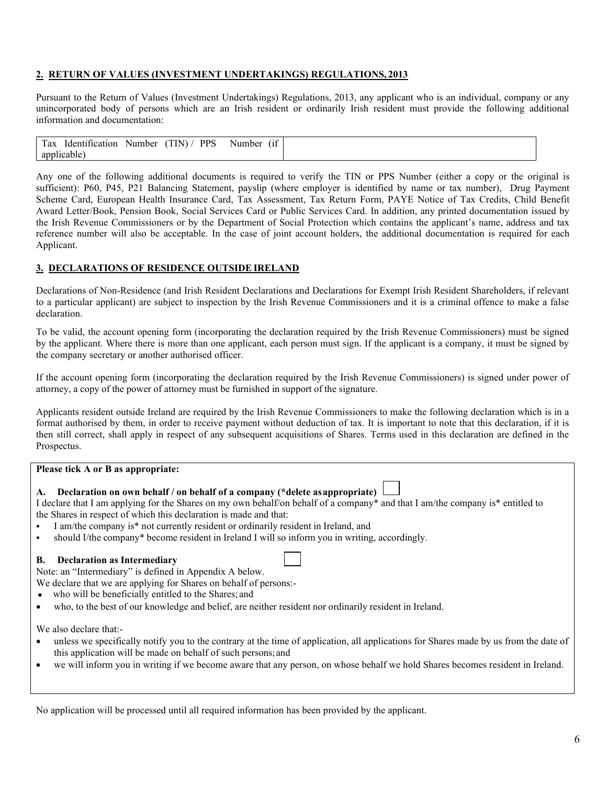# **2. RETURN OF VALUES (INVESTMENT UNDERTAKINGS) REGULATIONS, 2013**

Pursuant to the Return of Values (Investment Undertakings) Regulations, 2013, any applicant who is an individual, company or any unincorporated body of persons which are an Irish resident or ordinarily Irish resident must provide the following additional information and documentation:

| Identification | Number | TINY /<br>. | <b>PPS</b><br>$\sim$ $\sim$<br>Number | $\cdots$<br>$^{\prime}$ 11 |
|----------------|--------|-------------|---------------------------------------|----------------------------|
| anr            |        |             |                                       |                            |

Any one of the following additional documents is required to verify the TIN or PPS Number (either a copy or the original is sufficient): P60, P45, P21 Balancing Statement, payslip (where employer is identified by name or tax number), Drug Payment Scheme Card, European Health Insurance Card, Tax Assessment, Tax Return Form, PAYE Notice of Tax Credits, Child Benefit Award Letter/Book, Pension Book, Social Services Card or Public Services Card. In addition, any printed documentation issued by the Irish Revenue Commissioners or by the Department of Social Protection which contains the applicant's name, address and tax reference number will also be acceptable. In the case of joint account holders, the additional documentation is required for each Applicant.

## **3. DECLARATIONS OF RESIDENCE OUTSIDEIRELAND**

Declarations of Non-Residence (and Irish Resident Declarations and Declarations for Exempt Irish Resident Shareholders, if relevant to a particular applicant) are subject to inspection by the Irish Revenue Commissioners and it is a criminal offence to make a false declaration.

To be valid, the account opening form (incorporating the declaration required by the Irish Revenue Commissioners) must be signed by the applicant. Where there is more than one applicant, each person must sign. If the applicant is a company, it must be signed by the company secretary or another authorised officer.

If the account opening form (incorporating the declaration required by the Irish Revenue Commissioners) is signed under power of attorney, a copy of the power of attorney must be furnished in support of the signature.

Applicants resident outside Ireland are required by the Irish Revenue Commissioners to make the following declaration which is in a format authorised by them, in order to receive payment without deduction of tax. It is important to note that this declaration, if it is then still correct, shall apply in respect of any subsequent acquisitions of Shares. Terms used in this declaration are defined in the Prospectus.

#### **Please tick A or B as appropriate:**

#### **A. Declaration on own behalf / on behalf of a company (\*delete asappropriate)**

I declare that I am applying for the Shares on my own behalf/on behalf of a company\* and that I am/the company is\* entitled to the Shares in respect of which this declaration is made and that:

- I am/the company is\* not currently resident or ordinarily resident in Ireland, and
- should I/the company\* become resident in Ireland I will so inform you in writing, accordingly.

## **B. Declaration as Intermediary**

Note: an "Intermediary" is defined in Appendix A below.

- We declare that we are applying for Shares on behalf of persons:-
- who will be beneficially entitled to the Shares; and
- who, to the best of our knowledge and belief, are neither resident nor ordinarily resident in Ireland.

We also declare that:-

- unless we specifically notify you to the contrary at the time of application, all applications for Shares made by us from the date of this application will be made on behalf of such persons;and
- we will inform you in writing if we become aware that any person, on whose behalf we hold Shares becomes resident in Ireland.

No application will be processed until all required information has been provided by the applicant.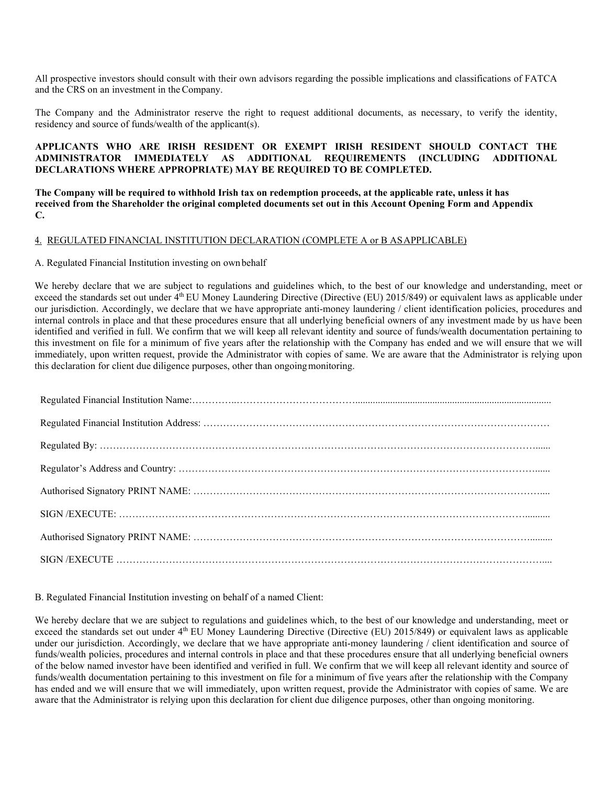All prospective investors should consult with their own advisors regarding the possible implications and classifications of FATCA and the CRS on an investment in theCompany.

The Company and the Administrator reserve the right to request additional documents, as necessary, to verify the identity, residency and source of funds/wealth of the applicant(s).

## **APPLICANTS WHO ARE IRISH RESIDENT OR EXEMPT IRISH RESIDENT SHOULD CONTACT THE ADMINISTRATOR IMMEDIATELY AS ADDITIONAL REQUIREMENTS (INCLUDING ADDITIONAL DECLARATIONS WHERE APPROPRIATE) MAY BE REQUIRED TO BE COMPLETED.**

**The Company will be required to withhold Irish tax on redemption proceeds, at the applicable rate, unless it has received from the Shareholder the original completed documents set out in this Account Opening Form and Appendix C.**

#### 4. REGULATED FINANCIAL INSTITUTION DECLARATION (COMPLETE A or B ASAPPLICABLE)

#### A. Regulated Financial Institution investing on ownbehalf

We hereby declare that we are subject to regulations and guidelines which, to the best of our knowledge and understanding, meet or exceed the standards set out under 4<sup>th</sup> EU Money Laundering Directive (Directive (EU) 2015/849) or equivalent laws as applicable under our jurisdiction. Accordingly, we declare that we have appropriate anti-money laundering / client identification policies, procedures and internal controls in place and that these procedures ensure that all underlying beneficial owners of any investment made by us have been identified and verified in full. We confirm that we will keep all relevant identity and source of funds/wealth documentation pertaining to this investment on file for a minimum of five years after the relationship with the Company has ended and we will ensure that we will immediately, upon written request, provide the Administrator with copies of same. We are aware that the Administrator is relying upon this declaration for client due diligence purposes, other than ongoing monitoring.

#### B. Regulated Financial Institution investing on behalf of a named Client:

We hereby declare that we are subject to regulations and guidelines which, to the best of our knowledge and understanding, meet or exceed the standards set out under 4<sup>th</sup> EU Money Laundering Directive (Directive (EU) 2015/849) or equivalent laws as applicable under our jurisdiction. Accordingly, we declare that we have appropriate anti-money laundering / client identification and source of funds/wealth policies, procedures and internal controls in place and that these procedures ensure that all underlying beneficial owners of the below named investor have been identified and verified in full. We confirm that we will keep all relevant identity and source of funds/wealth documentation pertaining to this investment on file for a minimum of five years after the relationship with the Company has ended and we will ensure that we will immediately, upon written request, provide the Administrator with copies of same. We are aware that the Administrator is relying upon this declaration for client due diligence purposes, other than ongoing monitoring.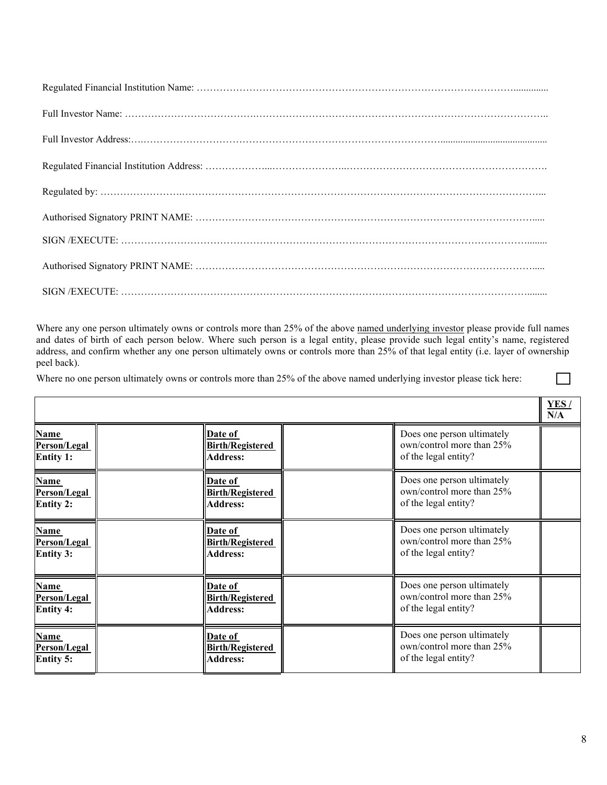Where any one person ultimately owns or controls more than 25% of the above named underlying investor please provide full names and dates of birth of each person below. Where such person is a legal entity, please provide such legal entity's name, registered address, and confirm whether any one person ultimately owns or controls more than 25% of that legal entity (i.e. layer of ownership peel back).

Where no one person ultimately owns or controls more than 25% of the above named underlying investor please tick here:

|                                                 |                                                              |                                                                                 | <b>YES/</b><br>N/A |
|-------------------------------------------------|--------------------------------------------------------------|---------------------------------------------------------------------------------|--------------------|
| <b>Name</b><br>Person/Legal<br><b>Entity 1:</b> | Date of<br><b>Birth/Registered</b><br><b>Address:</b>        | Does one person ultimately<br>own/control more than 25%<br>of the legal entity? |                    |
| Name<br>Person/Legal<br><b>Entity 2:</b>        | Date of<br><b>Birth/Registered</b><br><b>Address:</b>        | Does one person ultimately<br>own/control more than 25%<br>of the legal entity? |                    |
| <b>Name</b><br>Person/Legal<br><b>Entity 3:</b> | <b>Date of</b><br><b>Birth/Registered</b><br><b>Address:</b> | Does one person ultimately<br>own/control more than 25%<br>of the legal entity? |                    |
| <b>Name</b><br>Person/Legal<br><b>Entity 4:</b> | Date of<br><b>Birth/Registered</b><br><b>Address:</b>        | Does one person ultimately<br>own/control more than 25%<br>of the legal entity? |                    |
| <b>Name</b><br>Person/Legal<br><b>Entity 5:</b> | Date of<br><b>Birth/Registered</b><br><b>Address:</b>        | Does one person ultimately<br>own/control more than 25%<br>of the legal entity? |                    |

 $\mathcal{L}$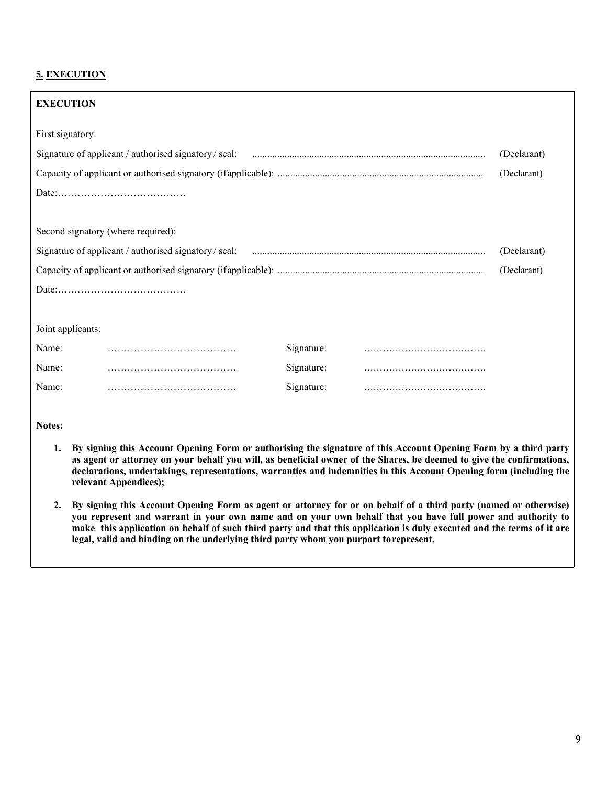# **5. EXECUTION**

| <b>EXECUTION</b>                                      |            |  |             |
|-------------------------------------------------------|------------|--|-------------|
| First signatory:                                      |            |  |             |
| Signature of applicant / authorised signatory / seal: |            |  | (Declarant) |
|                                                       |            |  | (Declarant) |
|                                                       |            |  |             |
|                                                       |            |  |             |
| Second signatory (where required):                    |            |  |             |
| (Declarant)                                           |            |  |             |
| (Declarant)                                           |            |  |             |
|                                                       |            |  |             |
|                                                       |            |  |             |
| Joint applicants:                                     |            |  |             |
| Name:                                                 | Signature: |  |             |
| Name:                                                 | Signature: |  |             |
| Name:                                                 | Signature: |  |             |
|                                                       |            |  |             |

**Notes:**

- **1. By signing this Account Opening Form or authorising the signature of this Account Opening Form by a third party as agent or attorney on your behalf you will, as beneficial owner of the Shares, be deemed to give the confirmations, declarations, undertakings, representations, warranties and indemnities in this Account Opening form (including the relevant Appendices);**
- **2. By signing this Account Opening Form as agent or attorney for or on behalf of a third party (named or otherwise) you represent and warrant in your own name and on your own behalf that you have full power and authority to make this application on behalf of such third party and that this application is duly executed and the terms of it are legal, valid and binding on the underlying third party whom you purport torepresent.**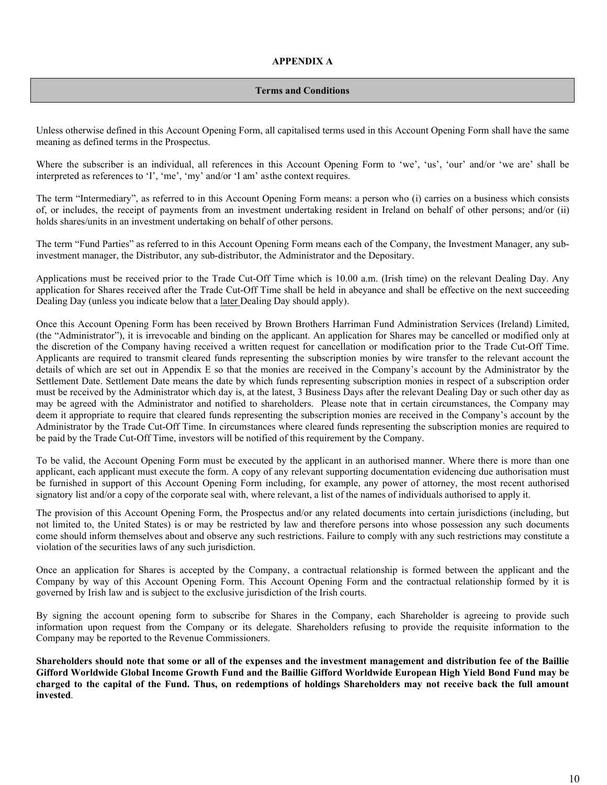### **Terms and Conditions**

Unless otherwise defined in this Account Opening Form, all capitalised terms used in this Account Opening Form shall have the same meaning as defined terms in the Prospectus.

Where the subscriber is an individual, all references in this Account Opening Form to 'we', 'us', 'our' and/or 'we are' shall be interpreted as references to 'I', 'me', 'my' and/or 'I am' asthe context requires.

The term "Intermediary", as referred to in this Account Opening Form means: a person who (i) carries on a business which consists of, or includes, the receipt of payments from an investment undertaking resident in Ireland on behalf of other persons; and/or (ii) holds shares/units in an investment undertaking on behalf of other persons.

The term "Fund Parties" as referred to in this Account Opening Form means each of the Company, the Investment Manager, any subinvestment manager, the Distributor, any sub-distributor, the Administrator and the Depositary.

Applications must be received prior to the Trade Cut-Off Time which is 10.00 a.m. (Irish time) on the relevant Dealing Day. Any application for Shares received after the Trade Cut-Off Time shall be held in abeyance and shall be effective on the next succeeding Dealing Day (unless you indicate below that a later Dealing Day should apply).

Once this Account Opening Form has been received by Brown Brothers Harriman Fund Administration Services (Ireland) Limited, (the "Administrator"), it is irrevocable and binding on the applicant. An application for Shares may be cancelled or modified only at the discretion of the Company having received a written request for cancellation or modification prior to the Trade Cut-Off Time. Applicants are required to transmit cleared funds representing the subscription monies by wire transfer to the relevant account the details of which are set out in Appendix E so that the monies are received in the Company's account by the Administrator by the Settlement Date. Settlement Date means the date by which funds representing subscription monies in respect of a subscription order must be received by the Administrator which day is, at the latest, 3 Business Days after the relevant Dealing Day or such other day as may be agreed with the Administrator and notified to shareholders. Please note that in certain circumstances, the Company may deem it appropriate to require that cleared funds representing the subscription monies are received in the Company's account by the Administrator by the Trade Cut-Off Time. In circumstances where cleared funds representing the subscription monies are required to be paid by the Trade Cut-Off Time, investors will be notified of this requirement by the Company.

To be valid, the Account Opening Form must be executed by the applicant in an authorised manner. Where there is more than one applicant, each applicant must execute the form. A copy of any relevant supporting documentation evidencing due authorisation must be furnished in support of this Account Opening Form including, for example, any power of attorney, the most recent authorised signatory list and/or a copy of the corporate seal with, where relevant, a list of the names of individuals authorised to apply it.

The provision of this Account Opening Form, the Prospectus and/or any related documents into certain jurisdictions (including, but not limited to, the United States) is or may be restricted by law and therefore persons into whose possession any such documents come should inform themselves about and observe any such restrictions. Failure to comply with any such restrictions may constitute a violation of the securities laws of any such jurisdiction.

Once an application for Shares is accepted by the Company, a contractual relationship is formed between the applicant and the Company by way of this Account Opening Form. This Account Opening Form and the contractual relationship formed by it is governed by Irish law and is subject to the exclusive jurisdiction of the Irish courts.

By signing the account opening form to subscribe for Shares in the Company, each Shareholder is agreeing to provide such information upon request from the Company or its delegate. Shareholders refusing to provide the requisite information to the Company may be reported to the Revenue Commissioners.

**Shareholders should note that some or all of the expenses and the investment management and distribution fee of the Baillie Gifford Worldwide Global Income Growth Fund and the Baillie Gifford Worldwide European High Yield Bond Fund may be charged to the capital of the Fund. Thus, on redemptions of holdings Shareholders may not receive back the full amount invested**.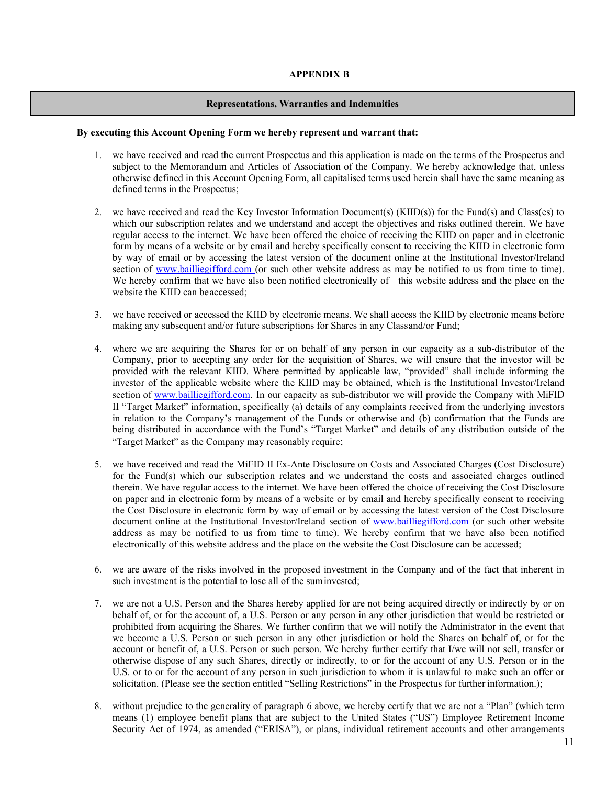### **APPENDIX B**

#### **Representations, Warranties and Indemnities**

#### **By executing this Account Opening Form we hereby represent and warrant that:**

- 1. we have received and read the current Prospectus and this application is made on the terms of the Prospectus and subject to the Memorandum and Articles of Association of the Company. We hereby acknowledge that, unless otherwise defined in this Account Opening Form, all capitalised terms used herein shall have the same meaning as defined terms in the Prospectus;
- 2. we have received and read the Key Investor Information Document(s) (KIID(s)) for the Fund(s) and Class(es) to which our subscription relates and we understand and accept the objectives and risks outlined therein. We have regular access to the internet. We have been offered the choice of receiving the KIID on paper and in electronic form by means of a website or by email and hereby specifically consent to receiving the KIID in electronic form by way of email or by accessing the latest version of the document online at the Institutional Investor/Ireland section of [www.bailliegifford.com \(](http://www.bailliegifford.com/)or such other website address as may be notified to us from time to time). We hereby confirm that we have also been notified electronically of this website address and the place on the website the KIID can beaccessed;
- 3. we have received or accessed the KIID by electronic means. We shall access the KIID by electronic means before making any subsequent and/or future subscriptions for Shares in any Classand/or Fund;
- 4. where we are acquiring the Shares for or on behalf of any person in our capacity as a sub-distributor of the Company, prior to accepting any order for the acquisition of Shares, we will ensure that the investor will be provided with the relevant KIID. Where permitted by applicable law, "provided" shall include informing the investor of the applicable website where the KIID may be obtained, which is the Institutional Investor/Ireland section of www.bailliegifford.com. In our capacity as sub-distributor we will provide the Company with MiFID II "Target Market" information, specifically (a) details of any complaints received from the underlying investors in relation to the Company's management of the Funds or otherwise and (b) confirmation that the Funds are being distributed in accordance with the Fund's "Target Market" and details of any distribution outside of the "Target Market" as the Company may reasonably require;
- 5. we have received and read the MiFID II Ex-Ante Disclosure on Costs and Associated Charges (Cost Disclosure) for the Fund(s) which our subscription relates and we understand the costs and associated charges outlined therein. We have regular access to the internet. We have been offered the choice of receiving the Cost Disclosure on paper and in electronic form by means of a website or by email and hereby specifically consent to receiving the Cost Disclosure in electronic form by way of email or by accessing the latest version of the Cost Disclosure document online at the Institutional Investor/Ireland section of [www.bailliegifford.com \(](http://www.bailliegifford.com/)or such other website address as may be notified to us from time to time). We hereby confirm that we have also been notified electronically of this website address and the place on the website the Cost Disclosure can be accessed;
- 6. we are aware of the risks involved in the proposed investment in the Company and of the fact that inherent in such investment is the potential to lose all of the suminvested;
- 7. we are not a U.S. Person and the Shares hereby applied for are not being acquired directly or indirectly by or on behalf of, or for the account of, a U.S. Person or any person in any other jurisdiction that would be restricted or prohibited from acquiring the Shares. We further confirm that we will notify the Administrator in the event that we become a U.S. Person or such person in any other jurisdiction or hold the Shares on behalf of, or for the account or benefit of, a U.S. Person or such person. We hereby further certify that I/we will not sell, transfer or otherwise dispose of any such Shares, directly or indirectly, to or for the account of any U.S. Person or in the U.S. or to or for the account of any person in such jurisdiction to whom it is unlawful to make such an offer or solicitation. (Please see the section entitled "Selling Restrictions" in the Prospectus for further information.);
- 8. without prejudice to the generality of paragraph 6 above, we hereby certify that we are not a "Plan" (which term means (1) employee benefit plans that are subject to the United States ("US") Employee Retirement Income Security Act of 1974, as amended ("ERISA"), or plans, individual retirement accounts and other arrangements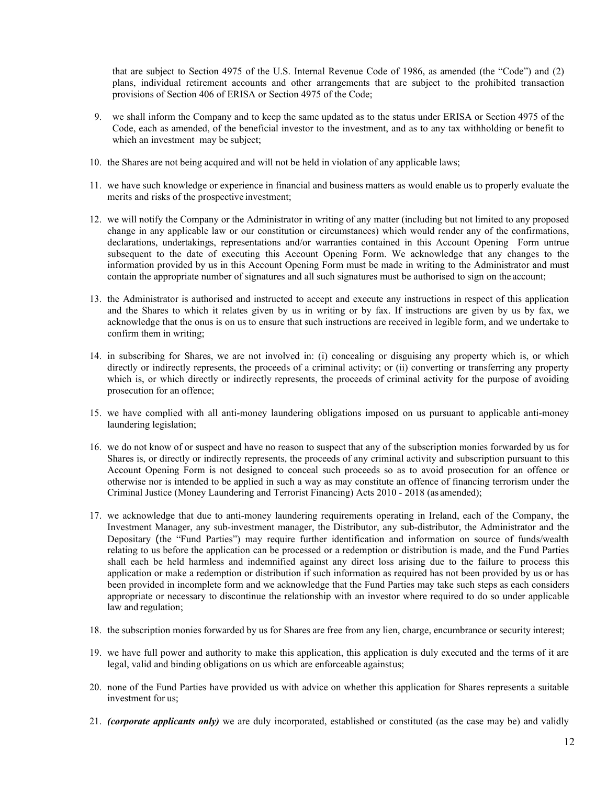that are subject to Section 4975 of the U.S. Internal Revenue Code of 1986, as amended (the "Code") and (2) plans, individual retirement accounts and other arrangements that are subject to the prohibited transaction provisions of Section 406 of ERISA or Section 4975 of the Code;

- 9. we shall inform the Company and to keep the same updated as to the status under ERISA or Section 4975 of the Code, each as amended, of the beneficial investor to the investment, and as to any tax withholding or benefit to which an investment may be subject;
- 10. the Shares are not being acquired and will not be held in violation of any applicable laws;
- 11. we have such knowledge or experience in financial and business matters as would enable us to properly evaluate the merits and risks of the prospective investment;
- 12. we will notify the Company or the Administrator in writing of any matter (including but not limited to any proposed change in any applicable law or our constitution or circumstances) which would render any of the confirmations, declarations, undertakings, representations and/or warranties contained in this Account Opening Form untrue subsequent to the date of executing this Account Opening Form. We acknowledge that any changes to the information provided by us in this Account Opening Form must be made in writing to the Administrator and must contain the appropriate number of signatures and all such signatures must be authorised to sign on the account;
- 13. the Administrator is authorised and instructed to accept and execute any instructions in respect of this application and the Shares to which it relates given by us in writing or by fax. If instructions are given by us by fax, we acknowledge that the onus is on us to ensure that such instructions are received in legible form, and we undertake to confirm them in writing;
- 14. in subscribing for Shares, we are not involved in: (i) concealing or disguising any property which is, or which directly or indirectly represents, the proceeds of a criminal activity; or (ii) converting or transferring any property which is, or which directly or indirectly represents, the proceeds of criminal activity for the purpose of avoiding prosecution for an offence;
- 15. we have complied with all anti-money laundering obligations imposed on us pursuant to applicable anti-money laundering legislation;
- 16. we do not know of or suspect and have no reason to suspect that any of the subscription monies forwarded by us for Shares is, or directly or indirectly represents, the proceeds of any criminal activity and subscription pursuant to this Account Opening Form is not designed to conceal such proceeds so as to avoid prosecution for an offence or otherwise nor is intended to be applied in such a way as may constitute an offence of financing terrorism under the Criminal Justice (Money Laundering and Terrorist Financing) Acts 2010 - 2018 (as amended);
- 17. we acknowledge that due to anti-money laundering requirements operating in Ireland, each of the Company, the Investment Manager, any sub-investment manager, the Distributor, any sub-distributor, the Administrator and the Depositary (the "Fund Parties") may require further identification and information on source of funds/wealth relating to us before the application can be processed or a redemption or distribution is made, and the Fund Parties shall each be held harmless and indemnified against any direct loss arising due to the failure to process this application or make a redemption or distribution if such information as required has not been provided by us or has been provided in incomplete form and we acknowledge that the Fund Parties may take such steps as each considers appropriate or necessary to discontinue the relationship with an investor where required to do so under applicable law and regulation;
- 18. the subscription monies forwarded by us for Shares are free from any lien, charge, encumbrance or security interest;
- 19. we have full power and authority to make this application, this application is duly executed and the terms of it are legal, valid and binding obligations on us which are enforceable againstus;
- 20. none of the Fund Parties have provided us with advice on whether this application for Shares represents a suitable investment for us;
- 21. *(corporate applicants only)* we are duly incorporated, established or constituted (as the case may be) and validly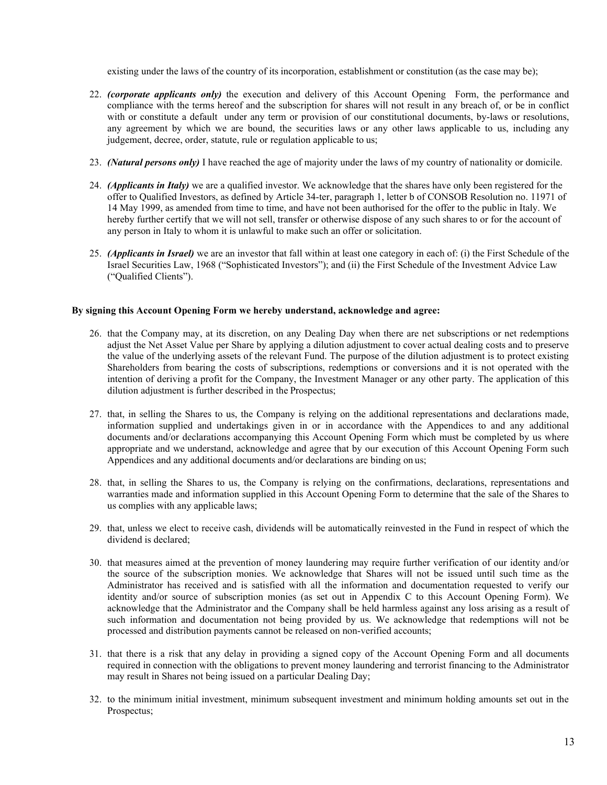existing under the laws of the country of its incorporation, establishment or constitution (as the case may be);

- 22. *(corporate applicants only)* the execution and delivery of this Account Opening Form, the performance and compliance with the terms hereof and the subscription for shares will not result in any breach of, or be in conflict with or constitute a default under any term or provision of our constitutional documents, by-laws or resolutions, any agreement by which we are bound, the securities laws or any other laws applicable to us, including any judgement, decree, order, statute, rule or regulation applicable to us;
- 23. *(Natural persons only)* I have reached the age of majority under the laws of my country of nationality or domicile.
- 24. *(Applicants in Italy)* we are a qualified investor. We acknowledge that the shares have only been registered for the offer to Qualified Investors, as defined by Article 34-ter, paragraph 1, letter b of CONSOB Resolution no. 11971 of 14 May 1999, as amended from time to time, and have not been authorised for the offer to the public in Italy. We hereby further certify that we will not sell, transfer or otherwise dispose of any such shares to or for the account of any person in Italy to whom it is unlawful to make such an offer or solicitation.
- 25. *(Applicants in Israel)* we are an investor that fall within at least one category in each of: (i) the First Schedule of the Israel Securities Law, 1968 ("Sophisticated Investors"); and (ii) the First Schedule of the Investment Advice Law ("Qualified Clients").

## **By signing this Account Opening Form we hereby understand, acknowledge and agree:**

- 26. that the Company may, at its discretion, on any Dealing Day when there are net subscriptions or net redemptions adjust the Net Asset Value per Share by applying a dilution adjustment to cover actual dealing costs and to preserve the value of the underlying assets of the relevant Fund. The purpose of the dilution adjustment is to protect existing Shareholders from bearing the costs of subscriptions, redemptions or conversions and it is not operated with the intention of deriving a profit for the Company, the Investment Manager or any other party. The application of this dilution adjustment is further described in the Prospectus;
- 27. that, in selling the Shares to us, the Company is relying on the additional representations and declarations made, information supplied and undertakings given in or in accordance with the Appendices to and any additional documents and/or declarations accompanying this Account Opening Form which must be completed by us where appropriate and we understand, acknowledge and agree that by our execution of this Account Opening Form such Appendices and any additional documents and/or declarations are binding on us;
- 28. that, in selling the Shares to us, the Company is relying on the confirmations, declarations, representations and warranties made and information supplied in this Account Opening Form to determine that the sale of the Shares to us complies with any applicable laws;
- 29. that, unless we elect to receive cash, dividends will be automatically reinvested in the Fund in respect of which the dividend is declared;
- 30. that measures aimed at the prevention of money laundering may require further verification of our identity and/or the source of the subscription monies. We acknowledge that Shares will not be issued until such time as the Administrator has received and is satisfied with all the information and documentation requested to verify our identity and/or source of subscription monies (as set out in Appendix C to this Account Opening Form). We acknowledge that the Administrator and the Company shall be held harmless against any loss arising as a result of such information and documentation not being provided by us. We acknowledge that redemptions will not be processed and distribution payments cannot be released on non-verified accounts;
- 31. that there is a risk that any delay in providing a signed copy of the Account Opening Form and all documents required in connection with the obligations to prevent money laundering and terrorist financing to the Administrator may result in Shares not being issued on a particular Dealing Day;
- 32. to the minimum initial investment, minimum subsequent investment and minimum holding amounts set out in the Prospectus;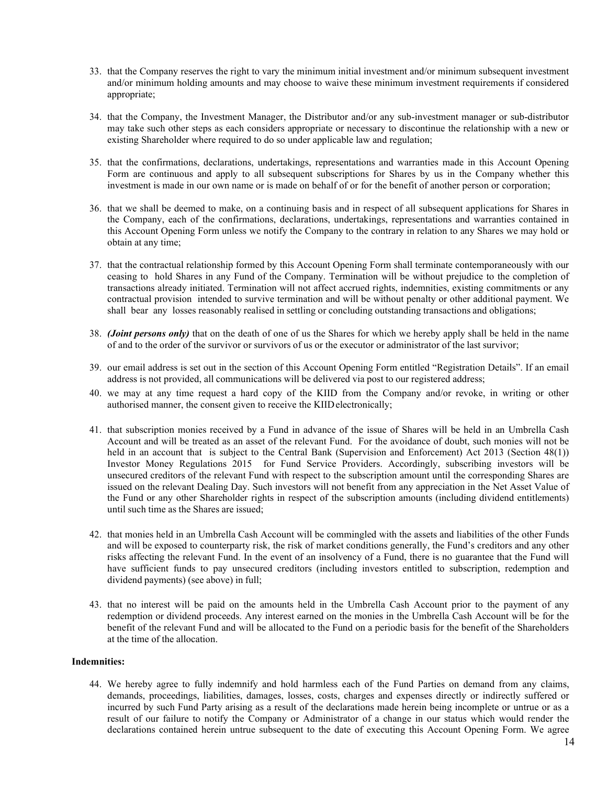- 33. that the Company reserves the right to vary the minimum initial investment and/or minimum subsequent investment and/or minimum holding amounts and may choose to waive these minimum investment requirements if considered appropriate;
- 34. that the Company, the Investment Manager, the Distributor and/or any sub-investment manager or sub-distributor may take such other steps as each considers appropriate or necessary to discontinue the relationship with a new or existing Shareholder where required to do so under applicable law and regulation;
- 35. that the confirmations, declarations, undertakings, representations and warranties made in this Account Opening Form are continuous and apply to all subsequent subscriptions for Shares by us in the Company whether this investment is made in our own name or is made on behalf of or for the benefit of another person or corporation;
- 36. that we shall be deemed to make, on a continuing basis and in respect of all subsequent applications for Shares in the Company, each of the confirmations, declarations, undertakings, representations and warranties contained in this Account Opening Form unless we notify the Company to the contrary in relation to any Shares we may hold or obtain at any time;
- 37. that the contractual relationship formed by this Account Opening Form shall terminate contemporaneously with our ceasing to hold Shares in any Fund of the Company. Termination will be without prejudice to the completion of transactions already initiated. Termination will not affect accrued rights, indemnities, existing commitments or any contractual provision intended to survive termination and will be without penalty or other additional payment. We shall bear any losses reasonably realised in settling or concluding outstanding transactions and obligations;
- 38. *(Joint persons only)* that on the death of one of us the Shares for which we hereby apply shall be held in the name of and to the order of the survivor or survivors of us or the executor or administrator of the last survivor;
- 39. our email address is set out in the section of this Account Opening Form entitled "Registration Details". If an email address is not provided, all communications will be delivered via post to our registered address;
- 40. we may at any time request a hard copy of the KIID from the Company and/or revoke, in writing or other authorised manner, the consent given to receive the KIIDelectronically;
- 41. that subscription monies received by a Fund in advance of the issue of Shares will be held in an Umbrella Cash Account and will be treated as an asset of the relevant Fund. For the avoidance of doubt, such monies will not be held in an account that is subject to the Central Bank (Supervision and Enforcement) Act 2013 (Section 48(1)) Investor Money Regulations 2015 for Fund Service Providers. Accordingly, subscribing investors will be unsecured creditors of the relevant Fund with respect to the subscription amount until the corresponding Shares are issued on the relevant Dealing Day. Such investors will not benefit from any appreciation in the Net Asset Value of the Fund or any other Shareholder rights in respect of the subscription amounts (including dividend entitlements) until such time as the Shares are issued;
- 42. that monies held in an Umbrella Cash Account will be commingled with the assets and liabilities of the other Funds and will be exposed to counterparty risk, the risk of market conditions generally, the Fund's creditors and any other risks affecting the relevant Fund. In the event of an insolvency of a Fund, there is no guarantee that the Fund will have sufficient funds to pay unsecured creditors (including investors entitled to subscription, redemption and dividend payments) (see above) in full;
- 43. that no interest will be paid on the amounts held in the Umbrella Cash Account prior to the payment of any redemption or dividend proceeds. Any interest earned on the monies in the Umbrella Cash Account will be for the benefit of the relevant Fund and will be allocated to the Fund on a periodic basis for the benefit of the Shareholders at the time of the allocation.

#### **Indemnities:**

44. We hereby agree to fully indemnify and hold harmless each of the Fund Parties on demand from any claims, demands, proceedings, liabilities, damages, losses, costs, charges and expenses directly or indirectly suffered or incurred by such Fund Party arising as a result of the declarations made herein being incomplete or untrue or as a result of our failure to notify the Company or Administrator of a change in our status which would render the declarations contained herein untrue subsequent to the date of executing this Account Opening Form. We agree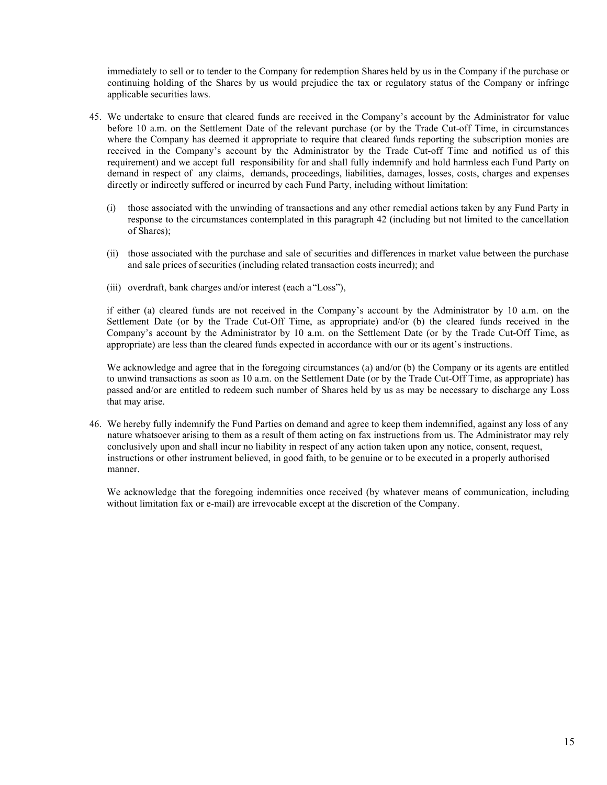immediately to sell or to tender to the Company for redemption Shares held by us in the Company if the purchase or continuing holding of the Shares by us would prejudice the tax or regulatory status of the Company or infringe applicable securities laws.

- 45. We undertake to ensure that cleared funds are received in the Company's account by the Administrator for value before 10 a.m. on the Settlement Date of the relevant purchase (or by the Trade Cut-off Time, in circumstances where the Company has deemed it appropriate to require that cleared funds reporting the subscription monies are received in the Company's account by the Administrator by the Trade Cut-off Time and notified us of this requirement) and we accept full responsibility for and shall fully indemnify and hold harmless each Fund Party on demand in respect of any claims, demands, proceedings, liabilities, damages, losses, costs, charges and expenses directly or indirectly suffered or incurred by each Fund Party, including without limitation:
	- (i) those associated with the unwinding of transactions and any other remedial actions taken by any Fund Party in response to the circumstances contemplated in this paragraph 42 (including but not limited to the cancellation of Shares);
	- (ii) those associated with the purchase and sale of securities and differences in market value between the purchase and sale prices of securities (including related transaction costs incurred); and
	- (iii) overdraft, bank charges and/or interest (each a"Loss"),

if either (a) cleared funds are not received in the Company's account by the Administrator by 10 a.m. on the Settlement Date (or by the Trade Cut-Off Time, as appropriate) and/or (b) the cleared funds received in the Company's account by the Administrator by 10 a.m. on the Settlement Date (or by the Trade Cut-Off Time, as appropriate) are less than the cleared funds expected in accordance with our or its agent's instructions.

We acknowledge and agree that in the foregoing circumstances (a) and/or (b) the Company or its agents are entitled to unwind transactions as soon as 10 a.m. on the Settlement Date (or by the Trade Cut-Off Time, as appropriate) has passed and/or are entitled to redeem such number of Shares held by us as may be necessary to discharge any Loss that may arise.

46. We hereby fully indemnify the Fund Parties on demand and agree to keep them indemnified, against any loss of any nature whatsoever arising to them as a result of them acting on fax instructions from us. The Administrator may rely conclusively upon and shall incur no liability in respect of any action taken upon any notice, consent, request, instructions or other instrument believed, in good faith, to be genuine or to be executed in a properly authorised manner.

We acknowledge that the foregoing indemnities once received (by whatever means of communication, including without limitation fax or e-mail) are irrevocable except at the discretion of the Company.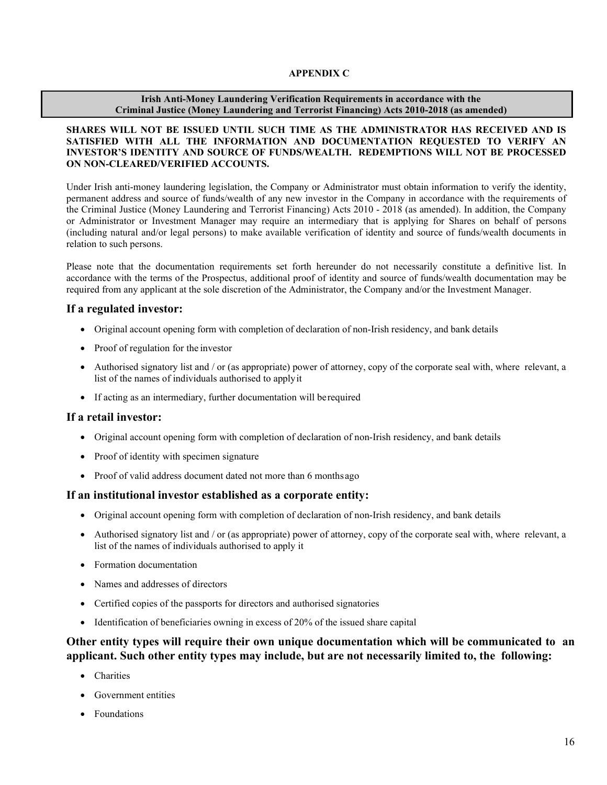## **APPENDIX C**

## **Irish Anti-Money Laundering Verification Requirements in accordance with the Criminal Justice (Money Laundering and Terrorist Financing) Acts 2010-2018 (as amended)**

## **SHARES WILL NOT BE ISSUED UNTIL SUCH TIME AS THE ADMINISTRATOR HAS RECEIVED AND IS SATISFIED WITH ALL THE INFORMATION AND DOCUMENTATION REQUESTED TO VERIFY AN INVESTOR'S IDENTITY AND SOURCE OF FUNDS/WEALTH. REDEMPTIONS WILL NOT BE PROCESSED ON NON-CLEARED/VERIFIED ACCOUNTS.**

Under Irish anti-money laundering legislation, the Company or Administrator must obtain information to verify the identity, permanent address and source of funds/wealth of any new investor in the Company in accordance with the requirements of the Criminal Justice (Money Laundering and Terrorist Financing) Acts 2010 - 2018 (as amended). In addition, the Company or Administrator or Investment Manager may require an intermediary that is applying for Shares on behalf of persons (including natural and/or legal persons) to make available verification of identity and source of funds/wealth documents in relation to such persons.

Please note that the documentation requirements set forth hereunder do not necessarily constitute a definitive list. In accordance with the terms of the Prospectus, additional proof of identity and source of funds/wealth documentation may be required from any applicant at the sole discretion of the Administrator, the Company and/or the Investment Manager.

# **If a regulated investor:**

- Original account opening form with completion of declaration of non-Irish residency, and bank details
- Proof of regulation for the investor
- Authorised signatory list and / or (as appropriate) power of attorney, copy of the corporate seal with, where relevant, a list of the names of individuals authorised to applyit
- If acting as an intermediary, further documentation will berequired

# **If a retail investor:**

- Original account opening form with completion of declaration of non-Irish residency, and bank details
- Proof of identity with specimen signature
- Proof of valid address document dated not more than 6 monthsago

# **If an institutional investor established as a corporate entity:**

- Original account opening form with completion of declaration of non-Irish residency, and bank details
- Authorised signatory list and / or (as appropriate) power of attorney, copy of the corporate seal with, where relevant, a list of the names of individuals authorised to apply it
- Formation documentation
- Names and addresses of directors
- Certified copies of the passports for directors and authorised signatories
- Identification of beneficiaries owning in excess of 20% of the issued share capital

# **Other entity types will require their own unique documentation which will be communicated to an applicant. Such other entity types may include, but are not necessarily limited to, the following:**

- Charities
- Government entities
- **Foundations**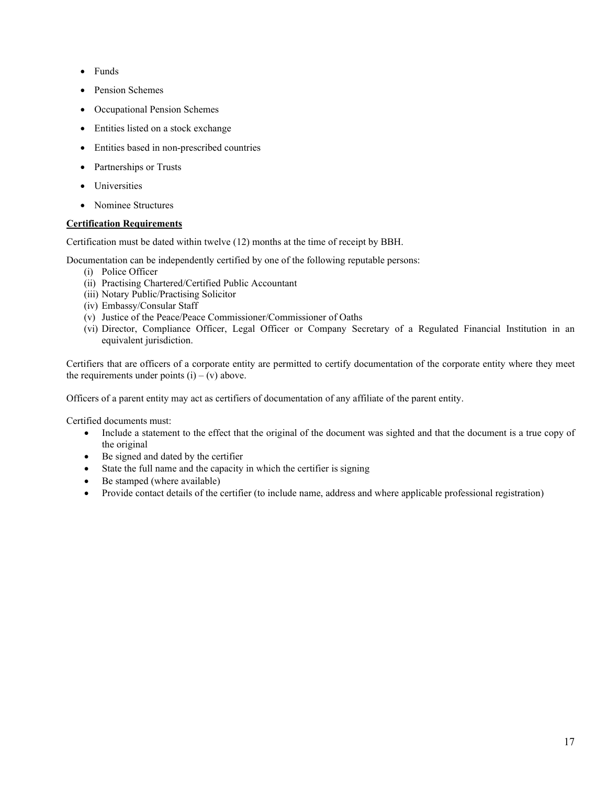- Funds
- Pension Schemes
- Occupational Pension Schemes
- Entities listed on a stock exchange
- Entities based in non-prescribed countries
- Partnerships or Trusts
- Universities
- Nominee Structures

# **Certification Requirements**

Certification must be dated within twelve (12) months at the time of receipt by BBH.

Documentation can be independently certified by one of the following reputable persons:

- (i) Police Officer
- (ii) Practising Chartered/Certified Public Accountant
- (iii) Notary Public/Practising Solicitor
- (iv) Embassy/Consular Staff
- (v) Justice of the Peace/Peace Commissioner/Commissioner of Oaths
- (vi) Director, Compliance Officer, Legal Officer or Company Secretary of a Regulated Financial Institution in an equivalent jurisdiction.

Certifiers that are officers of a corporate entity are permitted to certify documentation of the corporate entity where they meet the requirements under points  $(i) - (v)$  above.

Officers of a parent entity may act as certifiers of documentation of any affiliate of the parent entity.

Certified documents must:

- Include a statement to the effect that the original of the document was sighted and that the document is a true copy of the original
- Be signed and dated by the certifier
- State the full name and the capacity in which the certifier is signing
- Be stamped (where available)
- Provide contact details of the certifier (to include name, address and where applicable professional registration)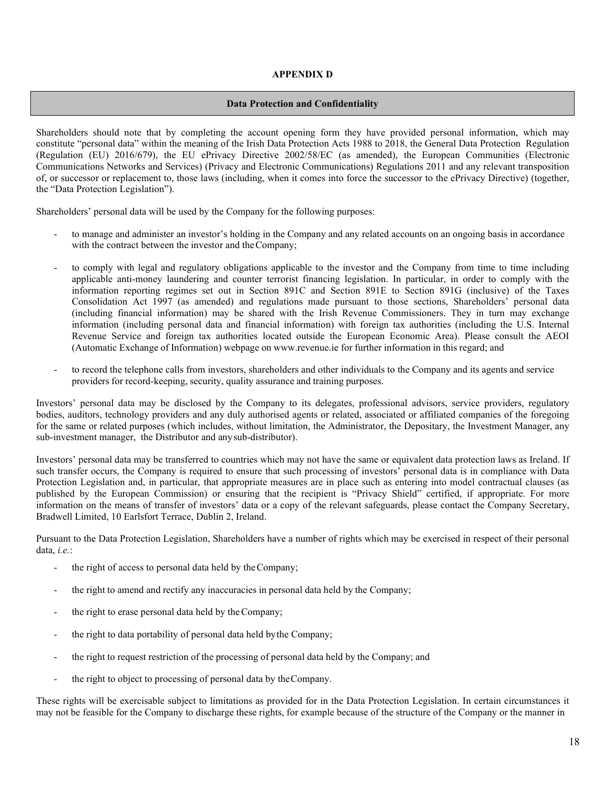## **APPENDIX D**

## **Data Protection and Confidentiality**

Shareholders should note that by completing the account opening form they have provided personal information, which may constitute "personal data" within the meaning of the Irish Data Protection Acts 1988 to 2018, the General Data Protection Regulation (Regulation (EU) 2016/679), the EU ePrivacy Directive 2002/58/EC (as amended), the European Communities (Electronic Communications Networks and Services) (Privacy and Electronic Communications) Regulations 2011 and any relevant transposition of, or successor or replacement to, those laws (including, when it comes into force the successor to the ePrivacy Directive) (together, the "Data Protection Legislation").

Shareholders' personal data will be used by the Company for the following purposes:

- to manage and administer an investor's holding in the Company and any related accounts on an ongoing basis in accordance with the contract between the investor and the Company;
- to comply with legal and regulatory obligations applicable to the investor and the Company from time to time including applicable anti-money laundering and counter terrorist financing legislation. In particular, in order to comply with the information reporting regimes set out in Section 891C and Section 891E to Section 891G (inclusive) of the Taxes Consolidation Act 1997 (as amended) and regulations made pursuant to those sections, Shareholders' personal data (including financial information) may be shared with the Irish Revenue Commissioners. They in turn may exchange information (including personal data and financial information) with foreign tax authorities (including the U.S. Internal Revenue Service and foreign tax authorities located outside the European Economic Area). Please consult the AEOI (Automatic Exchange of Information) webpage on [www.revenue.ie](http://www.revenue.ie/) for further information in this regard; and
- to record the telephone calls from investors, shareholders and other individuals to the Company and its agents and service providers for record-keeping, security, quality assurance and training purposes.

Investors' personal data may be disclosed by the Company to its delegates, professional advisors, service providers, regulatory bodies, auditors, technology providers and any duly authorised agents or related, associated or affiliated companies of the foregoing for the same or related purposes (which includes, without limitation, the Administrator, the Depositary, the Investment Manager, any sub-investment manager, the Distributor and anysub-distributor).

Investors' personal data may be transferred to countries which may not have the same or equivalent data protection laws as Ireland. If such transfer occurs, the Company is required to ensure that such processing of investors' personal data is in compliance with Data Protection Legislation and, in particular, that appropriate measures are in place such as entering into model contractual clauses (as published by the European Commission) or ensuring that the recipient is "Privacy Shield" certified, if appropriate. For more information on the means of transfer of investors' data or a copy of the relevant safeguards, please contact the Company Secretary, Bradwell Limited, 10 Earlsfort Terrace, Dublin 2, Ireland.

Pursuant to the Data Protection Legislation, Shareholders have a number of rights which may be exercised in respect of their personal data, *i.e.*:

- the right of access to personal data held by the Company;
- the right to amend and rectify any inaccuracies in personal data held by the Company;
- the right to erase personal data held by the Company;
- the right to data portability of personal data held by the Company;
- the right to request restriction of the processing of personal data held by the Company; and
- the right to object to processing of personal data by the Company.

These rights will be exercisable subject to limitations as provided for in the Data Protection Legislation. In certain circumstances it may not be feasible for the Company to discharge these rights, for example because of the structure of the Company or the manner in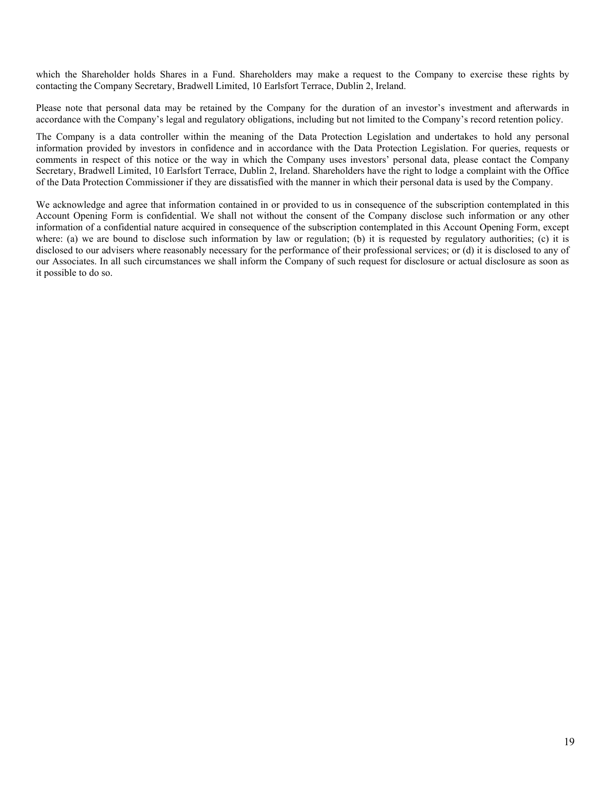which the Shareholder holds Shares in a Fund. Shareholders may make a request to the Company to exercise these rights by contacting the Company Secretary, Bradwell Limited, 10 Earlsfort Terrace, Dublin 2, Ireland.

Please note that personal data may be retained by the Company for the duration of an investor's investment and afterwards in accordance with the Company's legal and regulatory obligations, including but not limited to the Company's record retention policy.

The Company is a data controller within the meaning of the Data Protection Legislation and undertakes to hold any personal information provided by investors in confidence and in accordance with the Data Protection Legislation. For queries, requests or comments in respect of this notice or the way in which the Company uses investors' personal data, please contact the Company Secretary, Bradwell Limited, 10 Earlsfort Terrace, Dublin 2, Ireland. Shareholders have the right to lodge a complaint with the Office of the Data Protection Commissioner if they are dissatisfied with the manner in which their personal data is used by the Company.

We acknowledge and agree that information contained in or provided to us in consequence of the subscription contemplated in this Account Opening Form is confidential. We shall not without the consent of the Company disclose such information or any other information of a confidential nature acquired in consequence of the subscription contemplated in this Account Opening Form, except where: (a) we are bound to disclose such information by law or regulation; (b) it is requested by regulatory authorities; (c) it is disclosed to our advisers where reasonably necessary for the performance of their professional services; or (d) it is disclosed to any of our Associates. In all such circumstances we shall inform the Company of such request for disclosure or actual disclosure as soon as it possible to do so.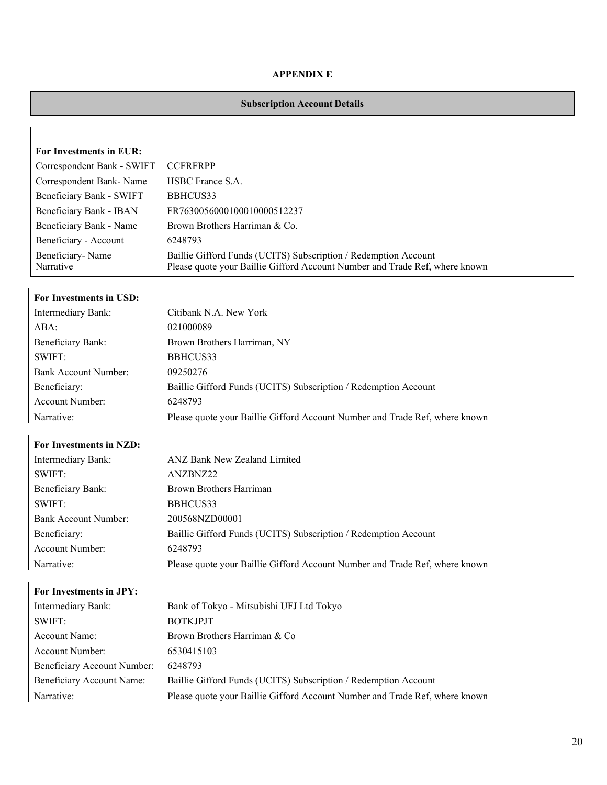## **APPENDIX E**

# **Subscription Account Details**

| For Investments in EUR:       |                                                                                                                                                |
|-------------------------------|------------------------------------------------------------------------------------------------------------------------------------------------|
| Correspondent Bank - SWIFT    | <b>CCFRFRPP</b>                                                                                                                                |
| Correspondent Bank-Name       | HSBC France S.A.                                                                                                                               |
| Beneficiary Bank - SWIFT      | BBHCUS33                                                                                                                                       |
| Beneficiary Bank - IBAN       | FR7630056000100010000512237                                                                                                                    |
| Beneficiary Bank - Name       | Brown Brothers Harriman & Co.                                                                                                                  |
| Beneficiary - Account         | 6248793                                                                                                                                        |
| Beneficiary-Name<br>Narrative | Baillie Gifford Funds (UCITS) Subscription / Redemption Account<br>Please quote your Baillie Gifford Account Number and Trade Ref, where known |

# **For Investments in USD:**

| Intermediary Bank:       | Citibank N.A. New York                                                      |
|--------------------------|-----------------------------------------------------------------------------|
| ABA:                     | 021000089                                                                   |
| <b>Beneficiary Bank:</b> | Brown Brothers Harriman, NY                                                 |
| SWIFT:                   | BBHCUS33                                                                    |
| Bank Account Number:     | 09250276                                                                    |
| Beneficiary:             | Baillie Gifford Funds (UCITS) Subscription / Redemption Account             |
| <b>Account Number:</b>   | 6248793                                                                     |
| Narrative:               | Please quote your Baillie Gifford Account Number and Trade Ref, where known |

# **For Investments in NZD:**

| Intermediary Bank:          | ANZ Bank New Zealand Limited                                                |
|-----------------------------|-----------------------------------------------------------------------------|
| SWIFT:                      | ANZBNZ22                                                                    |
| <b>Beneficiary Bank:</b>    | Brown Brothers Harriman                                                     |
| SWIFT:                      | BBHCUS33                                                                    |
| <b>Bank Account Number:</b> | 200568NZD00001                                                              |
| Beneficiary:                | Baillie Gifford Funds (UCITS) Subscription / Redemption Account             |
| Account Number:             | 6248793                                                                     |
| Narrative:                  | Please quote your Baillie Gifford Account Number and Trade Ref, where known |

| For Investments in JPY:     |                                                                             |
|-----------------------------|-----------------------------------------------------------------------------|
| Intermediary Bank:          | Bank of Tokyo - Mitsubishi UFJ Ltd Tokyo                                    |
| SWIFT:                      | <b>BOTKJPJT</b>                                                             |
| Account Name:               | Brown Brothers Harriman & Co                                                |
| Account Number:             | 6530415103                                                                  |
| Beneficiary Account Number: | 6248793                                                                     |
| Beneficiary Account Name:   | Baillie Gifford Funds (UCITS) Subscription / Redemption Account             |
| Narrative:                  | Please quote your Baillie Gifford Account Number and Trade Ref, where known |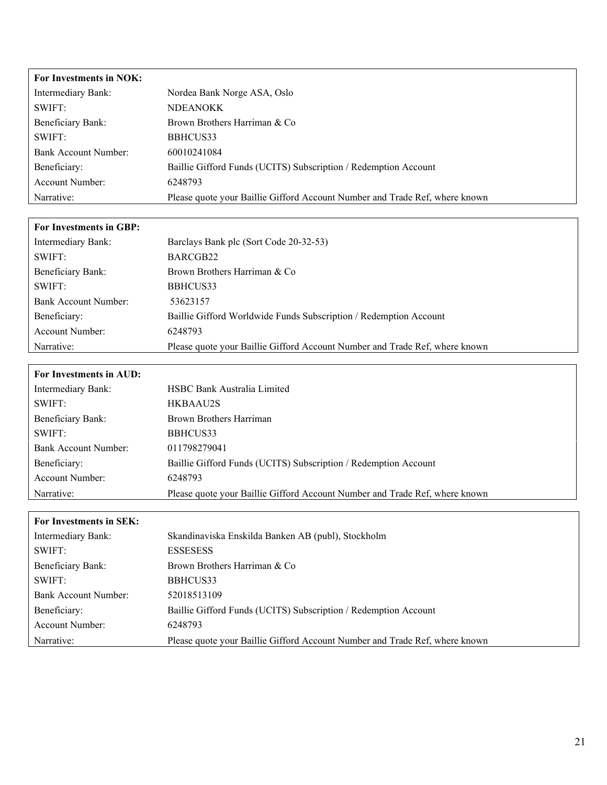| For Investments in NOK: |                                                                             |
|-------------------------|-----------------------------------------------------------------------------|
| Intermediary Bank:      | Nordea Bank Norge ASA, Oslo                                                 |
| SWIFT:                  | <b>NDEANOKK</b>                                                             |
| Beneficiary Bank:       | Brown Brothers Harriman & Co                                                |
| SWIFT:                  | BBHCUS33                                                                    |
| Bank Account Number:    | 60010241084                                                                 |
| Beneficiary:            | Baillie Gifford Funds (UCITS) Subscription / Redemption Account             |
| Account Number:         | 6248793                                                                     |
| Narrative:              | Please quote your Baillie Gifford Account Number and Trade Ref, where known |
|                         |                                                                             |

| <b>For Investments in GBP:</b> |                                                                             |
|--------------------------------|-----------------------------------------------------------------------------|
| Intermediary Bank:             | Barclays Bank plc (Sort Code 20-32-53)                                      |
| SWIFT:                         | BARCGB22                                                                    |
| Beneficiary Bank:              | Brown Brothers Harriman & Co                                                |
| SWIFT:                         | BBHCUS33                                                                    |
| Bank Account Number:           | 53623157                                                                    |
| Beneficiary:                   | Baillie Gifford Worldwide Funds Subscription / Redemption Account           |
| Account Number:                | 6248793                                                                     |
| Narrative:                     | Please quote your Baillie Gifford Account Number and Trade Ref, where known |

 $\Gamma$ 

| For Investments in AUD: |                                                                             |
|-------------------------|-----------------------------------------------------------------------------|
| Intermediary Bank:      | <b>HSBC Bank Australia Limited</b>                                          |
| SWIFT:                  | HKBAAU2S                                                                    |
| Beneficiary Bank:       | Brown Brothers Harriman                                                     |
| SWIFT:                  | BBHCUS33                                                                    |
| Bank Account Number:    | 011798279041                                                                |
| Beneficiary:            | Baillie Gifford Funds (UCITS) Subscription / Redemption Account             |
| Account Number:         | 6248793                                                                     |
| Narrative:              | Please quote your Baillie Gifford Account Number and Trade Ref, where known |

| For Investments in SEK:  |                                                                             |
|--------------------------|-----------------------------------------------------------------------------|
| Intermediary Bank:       | Skandinaviska Enskilda Banken AB (publ), Stockholm                          |
| SWIFT:                   | <b>ESSESESS</b>                                                             |
| <b>Beneficiary Bank:</b> | Brown Brothers Harriman & Co                                                |
| SWIFT:                   | BBHCUS33                                                                    |
| Bank Account Number:     | 52018513109                                                                 |
| Beneficiary:             | Baillie Gifford Funds (UCITS) Subscription / Redemption Account             |
| Account Number:          | 6248793                                                                     |
| Narrative:               | Please quote your Baillie Gifford Account Number and Trade Ref, where known |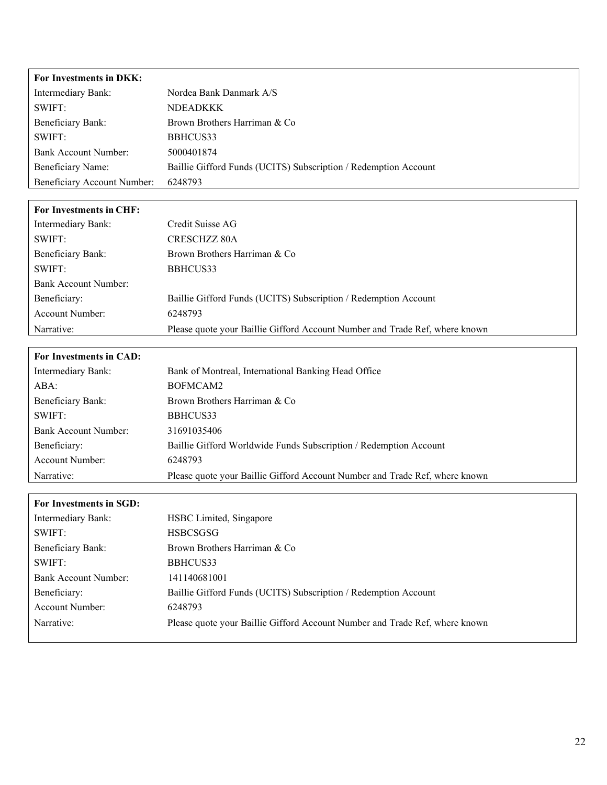| For Investments in DKK:        |                                                                             |
|--------------------------------|-----------------------------------------------------------------------------|
| Intermediary Bank:             | Nordea Bank Danmark A/S                                                     |
| SWIFT:                         | <b>NDEADKKK</b>                                                             |
| <b>Beneficiary Bank:</b>       | Brown Brothers Harriman & Co                                                |
| SWIFT:                         | BBHCUS33                                                                    |
| <b>Bank Account Number:</b>    | 5000401874                                                                  |
| Beneficiary Name:              | Baillie Gifford Funds (UCITS) Subscription / Redemption Account             |
| Beneficiary Account Number:    | 6248793                                                                     |
|                                |                                                                             |
| For Investments in CHF:        |                                                                             |
| Intermediary Bank:             | Credit Suisse AG                                                            |
| SWIFT:                         | <b>CRESCHZZ 80A</b>                                                         |
| <b>Beneficiary Bank:</b>       | Brown Brothers Harriman & Co                                                |
| SWIFT:                         | BBHCUS33                                                                    |
| <b>Bank Account Number:</b>    |                                                                             |
| Beneficiary:                   | Baillie Gifford Funds (UCITS) Subscription / Redemption Account             |
| Account Number:                | 6248793                                                                     |
| Narrative:                     | Please quote your Baillie Gifford Account Number and Trade Ref, where known |
|                                |                                                                             |
| For Investments in CAD:        |                                                                             |
| Intermediary Bank:             | Bank of Montreal, International Banking Head Office                         |
| ABA:                           | BOFMCAM2                                                                    |
| <b>Beneficiary Bank:</b>       | Brown Brothers Harriman & Co                                                |
| SWIFT:                         | BBHCUS33                                                                    |
| <b>Bank Account Number:</b>    | 31691035406                                                                 |
| Beneficiary:                   | Baillie Gifford Worldwide Funds Subscription / Redemption Account           |
| <b>Account Number:</b>         | 6248793                                                                     |
| Narrative:                     | Please quote your Baillie Gifford Account Number and Trade Ref, where known |
|                                |                                                                             |
| <b>For Investments in SGD:</b> | HSBC Limited, Singapore                                                     |
| Intermediary Bank:             |                                                                             |
| SWIFT:                         | <b>HSBCSGSG</b>                                                             |
| Beneficiary Bank:              | Brown Brothers Harriman & Co                                                |
| SWIFT:                         | BBHCUS33                                                                    |
| <b>Bank Account Number:</b>    | 141140681001                                                                |
| Beneficiary:                   | Baillie Gifford Funds (UCITS) Subscription / Redemption Account             |
| Account Number:                | 6248793                                                                     |
| Narrative:                     | Please quote your Baillie Gifford Account Number and Trade Ref, where known |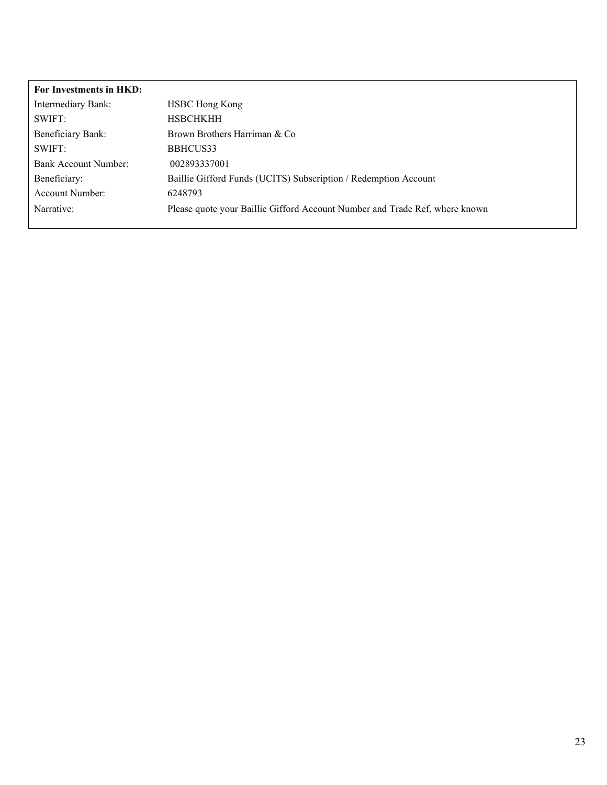| For Investments in HKD: |                                                                             |
|-------------------------|-----------------------------------------------------------------------------|
| Intermediary Bank:      | <b>HSBC Hong Kong</b>                                                       |
| SWIFT:                  | <b>HSBCHKHH</b>                                                             |
| Beneficiary Bank:       | Brown Brothers Harriman & Co                                                |
| SWIFT:                  | BBHCUS33                                                                    |
| Bank Account Number:    | 002893337001                                                                |
| Beneficiary:            | Baillie Gifford Funds (UCITS) Subscription / Redemption Account             |
| Account Number:         | 6248793                                                                     |
| Narrative:              | Please quote your Baillie Gifford Account Number and Trade Ref, where known |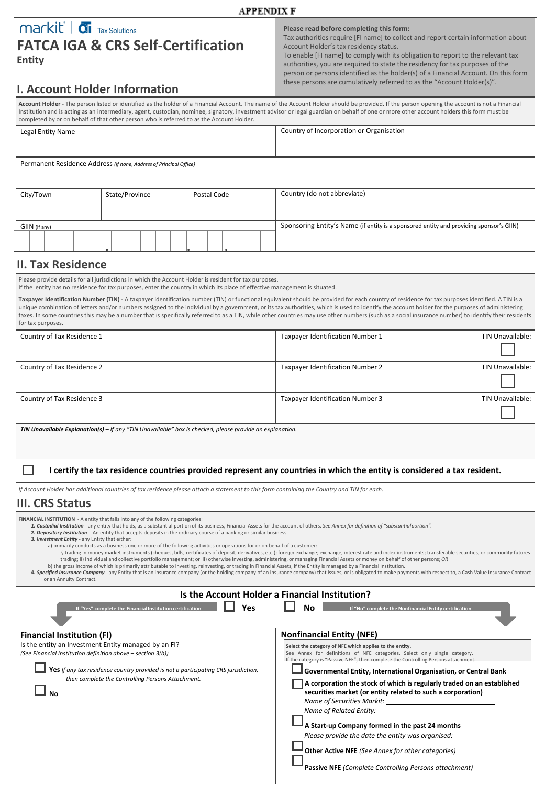# $\overline{\mathbf{m}}$   $\overline{\mathbf{m}}$   $\overline{\mathbf{m}}$   $\overline{\mathbf{m}}$   $\overline{\mathbf{m}}$   $\overline{\mathbf{m}}$   $\overline{\mathbf{m}}$   $\overline{\mathbf{m}}$ **FATCA IGA & CRS Self-Certification**

**Entity**

#### **Please read before completing this form:**

Tax authorities require [FI name] to collect and report certain information about Account Holder's tax residency status.

To enable [FI name] to comply with its obligation to report to the relevant tax authorities, you are required to state the residency for tax purposes of the person or persons identified as the holder(s) of a Financial Account. On this form these persons are cumulatively referred to as the "Account Holder(s)".

# **I. Account Holder Information**

**Account Holder -** The person listed or identified as the holder of a Financial Account. The name of the Account Holder should be provided. If the person opening the account is not a Financial Institution and is acting as an intermediary, agent, custodian, nominee, signatory, investment advisor or legal guardian on behalf of one or more other account holders this form must be completed by or on behalf of that other person who is referred to as the Account Holder.

**APPENDIX F** 

| Legal Entity Name                                                  | Country of Incorporation or Organisation |
|--------------------------------------------------------------------|------------------------------------------|
|                                                                    |                                          |
| Permanent Residence Address (if none, Address of Principal Office) |                                          |

City/Town State/Province Postal Code Country (do not abbreviate) GIIN (if any) Sponsoring Entity's Name (if entity is a sponsored entity and providing sponsor's GIIN) **. . .**

# **II. Tax Residence**

Please provide details for all jurisdictions in which the Account Holder is resident for tax purposes.

If the entity has no residence for tax purposes, enter the country in which its place of effective management is situated.

Taxpayer Identification Number (TIN) - A taxpayer identification number (TIN) or functional equivalent should be provided for each country of residence for tax purposes identified. A TIN is a unique combination of letters and/or numbers assigned to the individual by a government, or its tax authorities, which is used to identify the account holder for the purposes of administering taxes. In some countries this may be a number that is specifically referred to as a TIN, while other countries may use other numbers (such as a social insurance number) to identify their residents for tax purposes.

| Country of Tax Residence 1                                                                                        | Taxpayer Identification Number 1 | TIN Unavailable: |
|-------------------------------------------------------------------------------------------------------------------|----------------------------------|------------------|
|                                                                                                                   |                                  |                  |
| Country of Tax Residence 2                                                                                        | Taxpayer Identification Number 2 | TIN Unavailable: |
|                                                                                                                   |                                  |                  |
| Country of Tax Residence 3                                                                                        | Taxpayer Identification Number 3 | TIN Unavailable: |
|                                                                                                                   |                                  |                  |
| <b>TIN Unavailable Explanation(s)</b> $-$ If any "TIN Unavailable" box is checked, please provide an explanation. |                                  |                  |

**I certify the tax residence countries provided represent any countries in which the entity is considered a tax resident.**

*If Account Holder has additional countries of tax residence please attach a statement to this form containing the Country and TIN for each.* 

## **III. CRS Status**

**FINANCIAL INSTITUTION** - A entity that falls into any of the following categories:

- *1. Custodial Institution*  any entity that holds, as a substantial portion of its business, Financial Assets for the account of others. *See Annex for definition of "substantialportion".*
- **2.** *Depository Institution*  An entity that accepts deposits in the ordinary course of a banking or similar business.
- **3.** *Investment Entity*  any Entity that either:
	-
	- a) primarily conducts as a business one or more of the following activities or operations for or on behalf of a customer:<br>i) trading in money market instruments (cheques, bills, certificates of deposit, derivatives, etc.); trading; ii) individual and collective portfolio management; or iii) otherwise investing, administering, or managing Financial Assets or money on behalf of other persons;*OR* b) the gross income of which is primarily attributable to investing, reinvesting, or trading in Financial Assets, if the Entity is managed by a Financial Institution.
- 4. Specified Insurance Company any Entity that is an insurance company (or the holding company of an insurance company) that issues, or is obligated to make payments with respect to, a Cash Value Insurance Contract or an Annuity Contract.

|                                                                                                                                                                                                                                                                                                           | Is the Account Holder a Financial Institution?                                                                                                                                                                                                                                                                                                                                                                                                                                                                                                                                                                                                |
|-----------------------------------------------------------------------------------------------------------------------------------------------------------------------------------------------------------------------------------------------------------------------------------------------------------|-----------------------------------------------------------------------------------------------------------------------------------------------------------------------------------------------------------------------------------------------------------------------------------------------------------------------------------------------------------------------------------------------------------------------------------------------------------------------------------------------------------------------------------------------------------------------------------------------------------------------------------------------|
| Yes<br>If "Yes" complete the Financial Institution certification                                                                                                                                                                                                                                          | Nο<br>If "No" complete the Nonfinancial Entity certification                                                                                                                                                                                                                                                                                                                                                                                                                                                                                                                                                                                  |
| <b>Financial Institution (FI)</b><br>Is the entity an Investment Entity managed by an FI?<br>(See Financial Institution definition above - section 3(b))<br>Yes If any tax residence country provided is not a participating CRS jurisdiction,<br>then complete the Controlling Persons Attachment.<br>Νo | <b>Nonfinancial Entity (NFE)</b><br>Select the category of NFE which applies to the entity.<br>See Annex for definitions of NFE categories. Select only single category.<br>If the category is "Passive NFE", then complete the Controlling Persons attachment.<br>Governmental Entity, International Organisation, or Central Bank<br>A corporation the stock of which is regularly traded on an established<br>securities market (or entity related to such a corporation)<br>Name of Securities Markit:<br>Name of Related Entity:<br>A Start-up Company formed in the past 24 months<br>Please provide the date the entity was organised: |
|                                                                                                                                                                                                                                                                                                           | <b>Other Active NFE</b> (See Annex for other categories)                                                                                                                                                                                                                                                                                                                                                                                                                                                                                                                                                                                      |

**Passive NFE** *(Complete Controlling Persons attachment)*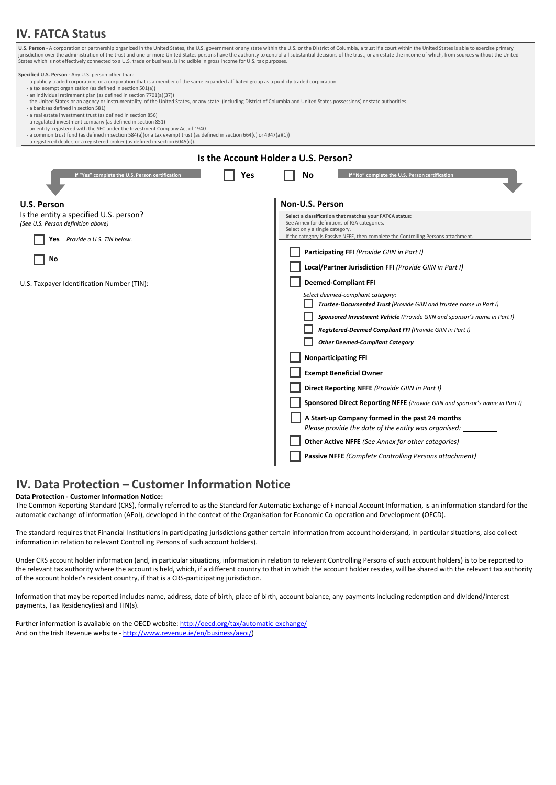# **IV. FATCA Status**

| States which is not effectively connected to a U.S. trade or business, is includible in gross income for U.S. tax purposes.                                                                                                                                                                                                                                                                                                                                                                                                                                                                                                                                                                                                                                                                                                                                                                                                                                                             |     | U.S. Person - A corporation or partnership organized in the United States, the U.S. government or any state within the U.S. or the District of Columbia, a trust if a court within the United States is able to exercise prima<br>jurisdiction over the administration of the trust and one or more United States persons have the authority to control all substantial decisions of the trust, or an estate the income of which, from sources without the Unite |
|-----------------------------------------------------------------------------------------------------------------------------------------------------------------------------------------------------------------------------------------------------------------------------------------------------------------------------------------------------------------------------------------------------------------------------------------------------------------------------------------------------------------------------------------------------------------------------------------------------------------------------------------------------------------------------------------------------------------------------------------------------------------------------------------------------------------------------------------------------------------------------------------------------------------------------------------------------------------------------------------|-----|------------------------------------------------------------------------------------------------------------------------------------------------------------------------------------------------------------------------------------------------------------------------------------------------------------------------------------------------------------------------------------------------------------------------------------------------------------------|
| Specified U.S. Person - Any U.S. person other than:<br>- a publicly traded corporation, or a corporation that is a member of the same expanded affiliated group as a publicly traded corporation<br>- a tax exempt organization (as defined in section 501(a))<br>- an individual retirement plan (as defined in section 7701(a)(37))<br>- the United States or an agency or instrumentality of the United States, or any state (including District of Columbia and United States possessions) or state authorities<br>- a bank (as defined in section 581)<br>- a real estate investment trust (as defined in section 856)<br>- a regulated investment company (as defined in section 851)<br>- an entity registered with the SEC under the Investment Company Act of 1940<br>- a common trust fund (as defined in section 584(a))or a tax exempt trust (as defined in section 664(c) or 4947(a)(1))<br>- a registered dealer, or a registered broker (as defined in section 6045(c)). |     |                                                                                                                                                                                                                                                                                                                                                                                                                                                                  |
|                                                                                                                                                                                                                                                                                                                                                                                                                                                                                                                                                                                                                                                                                                                                                                                                                                                                                                                                                                                         |     | Is the Account Holder a U.S. Person?                                                                                                                                                                                                                                                                                                                                                                                                                             |
| If "Yes" complete the U.S. Person certification                                                                                                                                                                                                                                                                                                                                                                                                                                                                                                                                                                                                                                                                                                                                                                                                                                                                                                                                         | Yes | No<br>If "No" complete the U.S. Person certification                                                                                                                                                                                                                                                                                                                                                                                                             |
| <b>U.S. Person</b>                                                                                                                                                                                                                                                                                                                                                                                                                                                                                                                                                                                                                                                                                                                                                                                                                                                                                                                                                                      |     | Non-U.S. Person                                                                                                                                                                                                                                                                                                                                                                                                                                                  |
| Is the entity a specified U.S. person?                                                                                                                                                                                                                                                                                                                                                                                                                                                                                                                                                                                                                                                                                                                                                                                                                                                                                                                                                  |     | Select a classification that matches your FATCA status:                                                                                                                                                                                                                                                                                                                                                                                                          |
| (See U.S. Person definition above)                                                                                                                                                                                                                                                                                                                                                                                                                                                                                                                                                                                                                                                                                                                                                                                                                                                                                                                                                      |     | See Annex for definitions of IGA categories.<br>Select only a single category.                                                                                                                                                                                                                                                                                                                                                                                   |
| Yes Provide a U.S. TIN below.                                                                                                                                                                                                                                                                                                                                                                                                                                                                                                                                                                                                                                                                                                                                                                                                                                                                                                                                                           |     | If the category is Passive NFFE, then complete the Controlling Persons attachment.                                                                                                                                                                                                                                                                                                                                                                               |
| No                                                                                                                                                                                                                                                                                                                                                                                                                                                                                                                                                                                                                                                                                                                                                                                                                                                                                                                                                                                      |     | Participating FFI (Provide GIIN in Part I)                                                                                                                                                                                                                                                                                                                                                                                                                       |
|                                                                                                                                                                                                                                                                                                                                                                                                                                                                                                                                                                                                                                                                                                                                                                                                                                                                                                                                                                                         |     | Local/Partner Jurisdiction FFI (Provide GIIN in Part I)                                                                                                                                                                                                                                                                                                                                                                                                          |
| U.S. Taxpayer Identification Number (TIN):                                                                                                                                                                                                                                                                                                                                                                                                                                                                                                                                                                                                                                                                                                                                                                                                                                                                                                                                              |     | <b>Deemed-Compliant FFI</b>                                                                                                                                                                                                                                                                                                                                                                                                                                      |
|                                                                                                                                                                                                                                                                                                                                                                                                                                                                                                                                                                                                                                                                                                                                                                                                                                                                                                                                                                                         |     | Select deemed-compliant category:                                                                                                                                                                                                                                                                                                                                                                                                                                |
|                                                                                                                                                                                                                                                                                                                                                                                                                                                                                                                                                                                                                                                                                                                                                                                                                                                                                                                                                                                         |     | Trustee-Documented Trust (Provide GIIN and trustee name in Part I)                                                                                                                                                                                                                                                                                                                                                                                               |
|                                                                                                                                                                                                                                                                                                                                                                                                                                                                                                                                                                                                                                                                                                                                                                                                                                                                                                                                                                                         |     | Sponsored Investment Vehicle (Provide GIIN and sponsor's name in Part I)                                                                                                                                                                                                                                                                                                                                                                                         |
|                                                                                                                                                                                                                                                                                                                                                                                                                                                                                                                                                                                                                                                                                                                                                                                                                                                                                                                                                                                         |     | Registered-Deemed Compliant FFI (Provide GIIN in Part I)                                                                                                                                                                                                                                                                                                                                                                                                         |
|                                                                                                                                                                                                                                                                                                                                                                                                                                                                                                                                                                                                                                                                                                                                                                                                                                                                                                                                                                                         |     | <b>Other Deemed-Compliant Category</b>                                                                                                                                                                                                                                                                                                                                                                                                                           |
|                                                                                                                                                                                                                                                                                                                                                                                                                                                                                                                                                                                                                                                                                                                                                                                                                                                                                                                                                                                         |     | <b>Nonparticipating FFI</b>                                                                                                                                                                                                                                                                                                                                                                                                                                      |
|                                                                                                                                                                                                                                                                                                                                                                                                                                                                                                                                                                                                                                                                                                                                                                                                                                                                                                                                                                                         |     | <b>Exempt Beneficial Owner</b>                                                                                                                                                                                                                                                                                                                                                                                                                                   |
|                                                                                                                                                                                                                                                                                                                                                                                                                                                                                                                                                                                                                                                                                                                                                                                                                                                                                                                                                                                         |     | Direct Reporting NFFE (Provide GIIN in Part I)                                                                                                                                                                                                                                                                                                                                                                                                                   |
|                                                                                                                                                                                                                                                                                                                                                                                                                                                                                                                                                                                                                                                                                                                                                                                                                                                                                                                                                                                         |     | Sponsored Direct Reporting NFFE (Provide GIIN and sponsor's name in Part I)                                                                                                                                                                                                                                                                                                                                                                                      |
|                                                                                                                                                                                                                                                                                                                                                                                                                                                                                                                                                                                                                                                                                                                                                                                                                                                                                                                                                                                         |     | A Start-up Company formed in the past 24 months                                                                                                                                                                                                                                                                                                                                                                                                                  |
|                                                                                                                                                                                                                                                                                                                                                                                                                                                                                                                                                                                                                                                                                                                                                                                                                                                                                                                                                                                         |     | Please provide the date of the entity was organised:                                                                                                                                                                                                                                                                                                                                                                                                             |
|                                                                                                                                                                                                                                                                                                                                                                                                                                                                                                                                                                                                                                                                                                                                                                                                                                                                                                                                                                                         |     | <b>Other Active NFFE</b> (See Annex for other categories)                                                                                                                                                                                                                                                                                                                                                                                                        |
|                                                                                                                                                                                                                                                                                                                                                                                                                                                                                                                                                                                                                                                                                                                                                                                                                                                                                                                                                                                         |     | Passive NFFE (Complete Controlling Persons attachment)                                                                                                                                                                                                                                                                                                                                                                                                           |

# **IV. Data Protection – Customer Information Notice**

## **Data Protection - Customer Information Notice:**

The Common Reporting Standard (CRS), formally referred to as the Standard for Automatic Exchange of Financial Account Information, is an information standard for the automatic exchange of information (AEoI), developed in the context of the Organisation for Economic Co-operation and Development (OECD).

The standard requires that Financial Institutions in participating jurisdictions gather certain information from account holders(and, in particular situations, also collect information in relation to relevant Controlling Persons of such account holders).

Under CRS account holder information (and, in particular situations, information in relation to relevant Controlling Persons of such account holders) is to be reported to the relevant tax authority where the account is held, which, if a different country to that in which the account holder resides, will be shared with the relevant tax authority of the account holder's resident country, if that is a CRS-participating jurisdiction.

Information that may be reported includes name, address, date of birth, place of birth, account balance, any payments including redemption and dividend/interest payments, Tax Residency(ies) and TIN(s).

Further information is available on the OECD website: http://oecd.org/tax/automatic-exchange/ And on the Irish Revenue website - [http://www.revenue.ie/en/business/aeoi/\)](http://www.revenue.ie/en/business/aeoi/)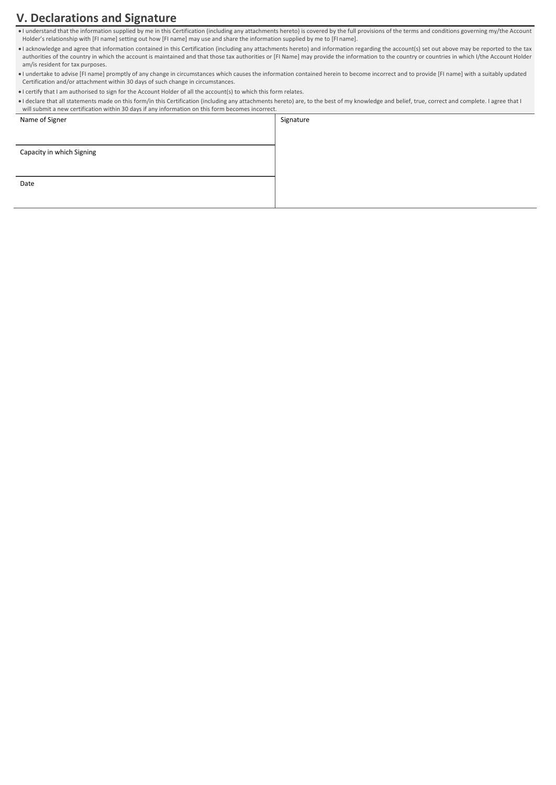# **V. Declarations and Signature**

• I understand that the information supplied by me in this Certification (including any attachments hereto) is covered by the full provisions of the terms and conditions governing my/the Account Holder's relationship with [FI name] setting out how [FI name] may use and share the information supplied by me to [FI name].

• I acknowledge and agree that information contained in this Certification (including any attachments hereto) and information regarding the account(s) set out above may be reported to the tax authorities of the country in which the account is maintained and that those tax authorities or [FI Name] may provide the information to the country or countries in which I/the Account Holder am/is resident for tax purposes.

• I undertake to advise [FI name] promptly of any change in circumstances which causes the information contained herein to become incorrect and to provide [FI name] with a suitably updated Certification and/or attachment within 30 days of such change in circumstances.

- I certify that I am authorised to sign for the Account Holder of all the account(s) to which this form relates.
- I declare that all statements made on this form/in this Certification (including any attachments hereto) are, to the best of my knowledge and belief, true, correct and complete. I agree that I will submit a new certification within 30 days if any information on this form becomes incorrect.

| $\sim$ $\sim$ $\sim$ $\sim$<br>Name of Signer | Signature |
|-----------------------------------------------|-----------|
|                                               |           |
| Capacity in which Signing                     |           |
|                                               |           |
| Date                                          |           |
|                                               |           |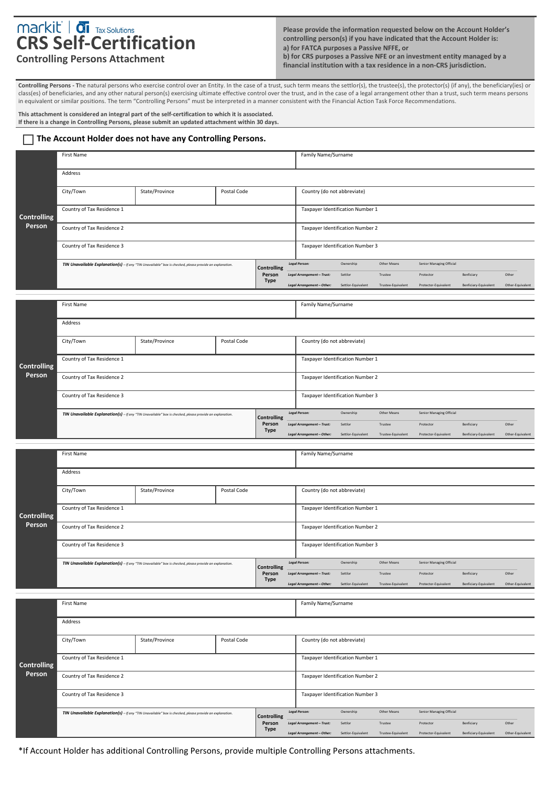# **CRS Self-Certification**

**Please provide the information requested below on the Account Holder's controlling person(s) if you have indicated that the Account Holder is: a) for FATCA purposes a Passive NFFE, or b) for CRS purposes a Passive NFE or an investment entity managed by a financial institution with a tax residence in a non-CRS jurisdiction.**

# **Controlling Persons Attachment**

**Controlling Persons - T**he natural persons who exercise control over an Entity. In the case of a trust, such term means the settlor(s), the trustee(s), the protector(s) (if any), the beneficiary(ies) or class(es) of beneficiaries, and any other natural person(s) exercising ultimate effective control over the trust, and in the case of a legal arrangement other than a trust, such term means persons in equivalent or similar positions. The term "Controlling Persons" must be interpreted in a manner consistent with the Financial Action Task Force Recommendations.

**This attachment is considered an integral part of the self-certification to which it is associated. If there is a change in Controlling Persons, please submit an updated attachment within 30 days.**

## **The Account Holder does not have any Controlling Persons.**

|                              | First Name                                                                                               |                                                                                                          |             |                              |                                                        | Family Name/Surname              |                               |                                       |                                     |                           |
|------------------------------|----------------------------------------------------------------------------------------------------------|----------------------------------------------------------------------------------------------------------|-------------|------------------------------|--------------------------------------------------------|----------------------------------|-------------------------------|---------------------------------------|-------------------------------------|---------------------------|
|                              | Address                                                                                                  |                                                                                                          |             |                              |                                                        |                                  |                               |                                       |                                     |                           |
| <b>Controlling</b><br>Person | City/Town                                                                                                | State/Province                                                                                           | Postal Code |                              | Country (do not abbreviate)                            |                                  |                               |                                       |                                     |                           |
|                              | Country of Tax Residence 1                                                                               |                                                                                                          |             |                              |                                                        | Taxpayer Identification Number 1 |                               |                                       |                                     |                           |
|                              | Country of Tax Residence 2                                                                               |                                                                                                          |             |                              |                                                        | Taxpayer Identification Number 2 |                               |                                       |                                     |                           |
|                              | Country of Tax Residence 3                                                                               |                                                                                                          |             |                              |                                                        | Taxpayer Identification Number 3 |                               |                                       |                                     |                           |
|                              | TIN Unavailable Explanation(s) - If any "TIN Unavailable" box is checked, please provide an explanation. |                                                                                                          |             | <b>Controlling</b><br>Person | <b>Legal Person:</b><br>Legal Arrangement-Trust:       | Ownership<br>Settlor             | Other Means<br>Trustee        | Senior Managing Official<br>Protector | Benficiary                          | Other                     |
|                              |                                                                                                          |                                                                                                          |             | Type                         | Legal Arrangement-Other:                               | Settlor-Equivalent               | Trustee-Equivalent            | Protector-Equivalent                  | Benficiary-Equivalent               | Other-Equivalent          |
|                              | First Name                                                                                               |                                                                                                          |             |                              | Family Name/Surname                                    |                                  |                               |                                       |                                     |                           |
|                              | Address                                                                                                  |                                                                                                          |             |                              |                                                        |                                  |                               |                                       |                                     |                           |
|                              | Postal Code<br>City/Town<br>State/Province                                                               |                                                                                                          |             | Country (do not abbreviate)  |                                                        |                                  |                               |                                       |                                     |                           |
| <b>Controlling</b>           | Country of Tax Residence 1                                                                               |                                                                                                          |             |                              |                                                        | Taxpayer Identification Number 1 |                               |                                       |                                     |                           |
| Person                       | Country of Tax Residence 2                                                                               |                                                                                                          |             |                              |                                                        | Taxpayer Identification Number 2 |                               |                                       |                                     |                           |
|                              | Country of Tax Residence 3                                                                               |                                                                                                          |             |                              |                                                        | Taxpayer Identification Number 3 |                               |                                       |                                     |                           |
|                              | TIN Unavailable Explanation(s) - If any "TIN Unavailable" box is checked, please provide an explanation. |                                                                                                          |             | <b>Controlling</b>           | Legal Person:                                          | Ownership                        | Other Means                   | Senior Managing Official              |                                     |                           |
|                              |                                                                                                          |                                                                                                          |             | Person<br><b>Type</b>        | Legal Arrangement-Trust:<br>Legal Arrangement-Other:   | Settlor<br>Settlor-Equivalent    | Trustee<br>Trustee-Equivalent | Protector<br>Protector-Equivalent     | Benficiary<br>Benficiary-Equivalent | Other<br>Other-Equivalent |
|                              |                                                                                                          |                                                                                                          |             |                              |                                                        |                                  |                               |                                       |                                     |                           |
|                              |                                                                                                          |                                                                                                          |             |                              |                                                        |                                  |                               |                                       |                                     |                           |
|                              | First Name                                                                                               |                                                                                                          |             |                              | Family Name/Surname                                    |                                  |                               |                                       |                                     |                           |
|                              | Address                                                                                                  |                                                                                                          |             |                              |                                                        |                                  |                               |                                       |                                     |                           |
|                              | City/Town                                                                                                | State/Province                                                                                           | Postal Code |                              | Country (do not abbreviate)                            |                                  |                               |                                       |                                     |                           |
| <b>Controlling</b>           | Country of Tax Residence 1                                                                               |                                                                                                          |             |                              |                                                        | Taxpayer Identification Number 1 |                               |                                       |                                     |                           |
| Person                       | Country of Tax Residence 2                                                                               |                                                                                                          |             |                              |                                                        | Taxpayer Identification Number 2 |                               |                                       |                                     |                           |
|                              | Country of Tax Residence 3                                                                               |                                                                                                          |             |                              |                                                        | Taxpayer Identification Number 3 |                               |                                       |                                     |                           |
|                              |                                                                                                          | TIN Unavailable Explanation(s) - If any "TIN Unavailable" box is checked, please provide an explanation. |             | Controlling                  | <b>Legal Person:</b>                                   | Ownership<br>Settlor             | Other Means<br>Trustee        | Senior Managing Official<br>Protector |                                     | Other                     |
|                              |                                                                                                          |                                                                                                          |             | Person<br><b>Type</b>        | Legal Arrangement - Trust:<br>Legal Arrangement-Other: | Settlor-Equivalent               | Trustee-Equivalent            | Protector-Equivalent                  | Benficiary<br>Benficiary-Equivalent | Other-Equivalent          |
|                              | First Name                                                                                               |                                                                                                          |             |                              | Family Name/Surname                                    |                                  |                               |                                       |                                     |                           |
|                              | Address                                                                                                  |                                                                                                          |             |                              |                                                        |                                  |                               |                                       |                                     |                           |
|                              | City/Town                                                                                                | State/Province                                                                                           | Postal Code |                              | Country (do not abbreviate)                            |                                  |                               |                                       |                                     |                           |
|                              | Country of Tax Residence 1                                                                               |                                                                                                          |             |                              |                                                        | Taxpayer Identification Number 1 |                               |                                       |                                     |                           |
| <b>Controlling</b><br>Person | Country of Tax Residence 2                                                                               |                                                                                                          |             |                              |                                                        | Taxpayer Identification Number 2 |                               |                                       |                                     |                           |
|                              | Country of Tax Residence 3                                                                               |                                                                                                          |             |                              |                                                        | Taxpayer Identification Number 3 |                               |                                       |                                     |                           |
|                              |                                                                                                          | TIN Unavailable Explanation(s) - If any "TIN Unavailable" box is checked, please provide an explanation. |             | <b>Controlling</b><br>Person | <b>Legal Person:</b><br>Legal Arrangement-Trust:       | Ownership<br>Settlor             | Other Means<br>Trustee        | Senior Managing Official<br>Protector | Benficiary                          | Other                     |

\*If Account Holder has additional Controlling Persons, provide multiple Controlling Persons attachments.